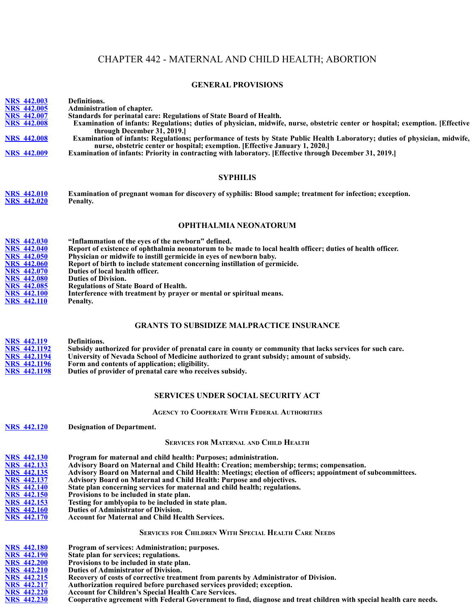# CHAPTER 442 - MATERNAL AND CHILD HEALTH; ABORTION

## **GENERAL PROVISIONS**

| <b>NRS 442.003</b><br><b>NRS 442.005</b>   | Definitions.<br>Administration of chapter.                                                                                                                                                            |
|--------------------------------------------|-------------------------------------------------------------------------------------------------------------------------------------------------------------------------------------------------------|
| <b>NRS 442.007</b><br><b>NRS 442.008</b>   | Standards for perinatal care: Regulations of State Board of Health.<br>Examination of infants: Regulations; duties of physician, midwife, nurse, obstetric center or hospital; exemption. [Effective  |
| <b>NRS 442.008</b>                         | through December 31, 2019.<br>Examination of infants: Regulations; performance of tests by State Public Health Laboratory; duties of physician, midwife,                                              |
|                                            | nurse, obstetric center or hospital; exemption. [Effective January 1, 2020.]                                                                                                                          |
| <b>NRS 442.009</b>                         | Examination of infants: Priority in contracting with laboratory. [Effective through December 31, 2019.]                                                                                               |
|                                            | <b>SYPHILIS</b>                                                                                                                                                                                       |
| <b>NRS 442.010</b><br><b>NRS 442.020</b>   | Examination of pregnant woman for discovery of syphilis: Blood sample; treatment for infection; exception.<br>Penalty.                                                                                |
|                                            | OPHTHALMIA NEONATORUM                                                                                                                                                                                 |
| <b>NRS 442.030</b>                         | "Inflammation of the eyes of the newborn" defined.                                                                                                                                                    |
| <b>NRS 442.040</b>                         | Report of existence of ophthalmia neonatorum to be made to local health officer; duties of health officer.                                                                                            |
| <b>NRS 442.050</b><br><b>NRS 442.060</b>   | Physician or midwife to instill germicide in eyes of newborn baby.<br>Report of birth to include statement concerning instillation of germicide.                                                      |
| <b>NRS 442.070</b>                         | Duties of local health officer.                                                                                                                                                                       |
| <b>NRS 442.080</b><br><b>NRS 442.085</b>   | <b>Duties of Division.</b><br><b>Regulations of State Board of Health.</b>                                                                                                                            |
| <b>NRS 442.100</b>                         | Interference with treatment by prayer or mental or spiritual means.                                                                                                                                   |
| <b>NRS 442.110</b>                         | Penalty.                                                                                                                                                                                              |
|                                            | <b>GRANTS TO SUBSIDIZE MALPRACTICE INSURANCE</b>                                                                                                                                                      |
| <b>NRS 442.119</b>                         | Definitions.                                                                                                                                                                                          |
| <b>NRS 442.1192</b><br><b>NRS 442,1194</b> | Subsidy authorized for provider of prenatal care in county or community that lacks services for such care.<br>University of Nevada School of Medicine authorized to grant subsidy; amount of subsidy. |
| <b>NRS 442.1196</b>                        | Form and contents of application; eligibility.                                                                                                                                                        |
| <b>NRS 442.1198</b>                        | Duties of provider of prenatal care who receives subsidy.                                                                                                                                             |
|                                            | <b>SERVICES UNDER SOCIAL SECURITY ACT</b>                                                                                                                                                             |
|                                            | <b>AGENCY TO COOPERATE WITH FEDERAL AUTHORITIES</b>                                                                                                                                                   |
| <b>NRS 442.120</b>                         | <b>Designation of Department.</b>                                                                                                                                                                     |
|                                            | <b>SERVICES FOR MATERNAL AND CHILD HEALTH</b>                                                                                                                                                         |
| <b>NRS 442.130</b>                         | Program for maternal and child health: Purposes; administration.                                                                                                                                      |
| <b>NRS 442.133</b><br><b>NRS 442.135</b>   | Advisory Board on Maternal and Child Health: Creation; membership; terms; compensation.<br>Advisory Board on Maternal and Child Health: Meetings; election of officers; appointment of subcommittees. |
| <b>NRS 442.137</b>                         | Advisory Board on Maternal and Child Health: Purpose and objectives.                                                                                                                                  |
| <b>NRS 442.140</b><br><b>NRS 442.150</b>   | State plan concerning services for maternal and child health; regulations.<br>Provisions to be included in state plan.                                                                                |
| <b>NRS 442.153</b>                         | Testing for amblyopia to be included in state plan.                                                                                                                                                   |
| <b>NRS</b> 442.160<br><b>NRS 442.170</b>   | Duties of Administrator of Division.                                                                                                                                                                  |
|                                            | <b>Account for Maternal and Child Health Services.</b>                                                                                                                                                |
|                                            | <b>SERVICES FOR CHILDREN WITH SPECIAL HEALTH CARE NEEDS</b>                                                                                                                                           |
| <b>NRS 442.180</b><br><b>NRS 442.190</b>   | Program of services: Administration; purposes.<br>State plan for services; regulations.                                                                                                               |
| <b>NRS 442.200</b>                         | Provisions to be included in state plan.                                                                                                                                                              |
| <b>NRS 442.210</b>                         | <b>Duties of Administrator of Division.</b>                                                                                                                                                           |
| <b>NRS 442.215</b><br><b>NRS 442.217</b>   | Recovery of costs of corrective treatment from parents by Administrator of Division.<br>Authorization required before purchased services provided; exception.                                         |

- **NRS 442.220 Account for Children's Special Health Care Services.**
- **NRS 442.230 Cooperati[ve agreement w](https://www.leg.state.nv.us/Statutes/61st/Stats198106.html#Stats198106page1162)ith [Federal Govern](https://www.leg.state.nv.us/Statutes/63rd/Stats198510.html#Stats198510page2308)[ment to find, dia](https://www.leg.state.nv.us/Statutes/80th2019/Stats201909.html#Stats201909page1503)gnose and treat children with special health care needs.**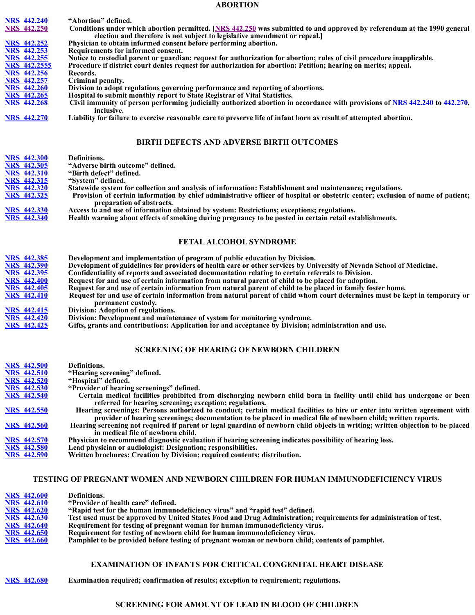#### **ABORTION**

| <b>NRS</b> 442.240  | "Abortion" defined.                                                                                                         |
|---------------------|-----------------------------------------------------------------------------------------------------------------------------|
| <b>NRS</b> 442.250  | Conditions under which abortion permitted. [NRS 442.250] was submitted to and approved by referendum at the 1990 general    |
|                     | election and therefore is not subject to legislative amendment or repeal.                                                   |
| <b>NRS</b> 442.252  | Physician to obtain informed consent before performing abortion.                                                            |
| <b>NRS</b> 442.253  | Requirements for informed consent.                                                                                          |
| <b>NRS</b> 442.255  | Notice to custodial parent or guardian; request for authorization for abortion; rules of civil procedure inapplicable.      |
| <b>NRS 442.2555</b> | Procedure if district court denies request for authorization for abortion: Petition; hearing on merits; appeal.             |
| <b>NRS</b> 442.256  | Records.                                                                                                                    |
| <b>NRS</b> 442.257  | Criminal penalty.                                                                                                           |
| <b>NRS</b> 442.260  | Division to adopt regulations governing performance and reporting of abortions.                                             |
| <b>NRS</b> 442.265  | Hospital to submit monthly report to State Registrar of Vital Statistics.                                                   |
| <b>NRS</b> 442.268  | Civil immunity of person performing judicially authorized abortion in accordance with provisions of NRS 442.240 to 442.270, |
|                     | inclusive.                                                                                                                  |
| <b>NRS 442.270</b>  | Liability for failure to exercise reasonable care to preserve life of infant born as result of attempted abortion.          |
|                     |                                                                                                                             |
|                     |                                                                                                                             |

## **BIRTH DEFECTS AND ADVERSE BIRTH OUTCOMES**

| <b>NRS</b> 442.300 | Definitions.                                                                                                                                                 |
|--------------------|--------------------------------------------------------------------------------------------------------------------------------------------------------------|
| <b>NRS 442.305</b> | "Adverse birth outcome" defined.                                                                                                                             |
| <b>NRS 442.310</b> | "Birth defect" defined.                                                                                                                                      |
| <b>NRS 442.315</b> | "System" defined.                                                                                                                                            |
| <b>NRS 442.320</b> | Statewide system for collection and analysis of information: Establishment and maintenance; regulations.                                                     |
| <b>NRS 442.325</b> | Provision of certain information by chief administrative officer of hospital or obstetric center; exclusion of name of patient;<br>preparation of abstracts. |
| <b>NRS 442.330</b> | Access to and use of information obtained by system: Restrictions; exceptions; regulations.                                                                  |
| <b>NRS 442.340</b> | Health warning about effects of smoking during pregnancy to be posted in certain retail establishments.                                                      |
|                    | <b>FETAL ALCOHOL SYNDROME</b>                                                                                                                                |
|                    |                                                                                                                                                              |
| <b>NRS 442.385</b> | Development and implementation of program of public education by Division.                                                                                   |
| <b>NRS 442.390</b> | Development of guidelines for providers of health care or other services by University of Nevada School of Medicine.                                         |
| <b>NRS 442.395</b> | Confidentiality of reports and associated documentation relating to certain referrals to Division.                                                           |
| <b>NRS 442.400</b> | Request for and use of certain information from natural parent of child to be placed for adoption.                                                           |
| <b>NRS 442.405</b> | Request for and use of certain information from natural parent of child to be placed in family foster home.                                                  |
| <b>NRS 442.410</b> | Request for and use of certain information from natural parent of child whom court determines must be kept in temporary or                                   |
|                    | permanent custody.                                                                                                                                           |
| <b>NRS</b> 442,415 | Division: Adoption of regulations.                                                                                                                           |
| <b>NRS 442.420</b> | Division: Development and maintenance of system for monitoring syndrome.                                                                                     |
| <b>NRS 442.425</b> | Gifts, grants and contributions: Application for and acceptance by Division; administration and use.                                                         |
|                    |                                                                                                                                                              |

## **SCREENING OF HEARING OF NEWBORN CHILDREN**

| <b>NRS 442.500</b> | Definitions.                                                                                                                   |
|--------------------|--------------------------------------------------------------------------------------------------------------------------------|
| <b>NRS</b> 442.510 | "Hearing screening" defined.                                                                                                   |
| <b>NRS</b> 442.520 | "Hospital" defined.                                                                                                            |
| <b>NRS</b> 442.530 | "Provider of hearing screenings" defined.                                                                                      |
| <b>NRS</b> 442.540 | Certain medical facilities prohibited from discharging newborn child born in facility until child has undergone or been        |
|                    | referred for hearing screening; exception; regulations.                                                                        |
| <b>NRS 442.550</b> | Hearing screenings: Persons authorized to conduct; certain medical facilities to hire or enter into written agreement with     |
|                    | provider of hearing screenings; documentation to be placed in medical file of newborn child; written reports.                  |
| <b>NRS</b> 442.560 | Hearing screening not required if parent or legal guardian of newborn child objects in writing; written objection to be placed |
|                    | in medical file of newborn child.                                                                                              |
| <b>NRS</b> 442.570 | Physician to recommend diagnostic evaluation if hearing screening indicates possibility of hearing loss.                       |
| <b>NRS 442.580</b> | Lead physician or audiologist: Designation; responsibilities.                                                                  |
| <b>NRS 442.590</b> | Written brochures: Creation by Division; required contents; distribution.                                                      |

#### **TESTING OF PREGNANT WOMEN AND NEWBORN CHILDREN FOR HUMAN IMMUNODEFICIENCY VIRUS**

| <b>NRS 442.600</b> | Definitions.                                                                                                       |
|--------------------|--------------------------------------------------------------------------------------------------------------------|
| <b>NRS 442.610</b> | "Provider of health care" defined.                                                                                 |
| <b>NRS</b> 442.620 | "Rapid test for the human immunodeficiency virus" and "rapid test" defined.                                        |
| <b>NRS</b> 442.630 | Test used must be approved by United States Food and Drug Administration; requirements for administration of test. |
| <b>NRS</b> 442.640 | Requirement for testing of pregnant woman for human immunodeficiency virus.                                        |
| <b>NRS</b> 442.650 | Requirement for testing of newborn child for human immunodeficiency virus.                                         |
| <b>NRS</b> 442.660 | Pamphlet to be provided before testing of pregnant woman or newborn child; contents of pamphlet.                   |

## **EXAMINATION OF INFANTS FOR CRITICAL CONGENITAL [HEART DISEASE](https://www.leg.state.nv.us/Const/NvConst.html#Art6Sec4)**

**NRS 442.680 Examination required; confirmation of results; exception to requirement; regulations.**

#### **SCREENING FOR AMOUNT OF LEAD IN BLOOD OF CHILDREN**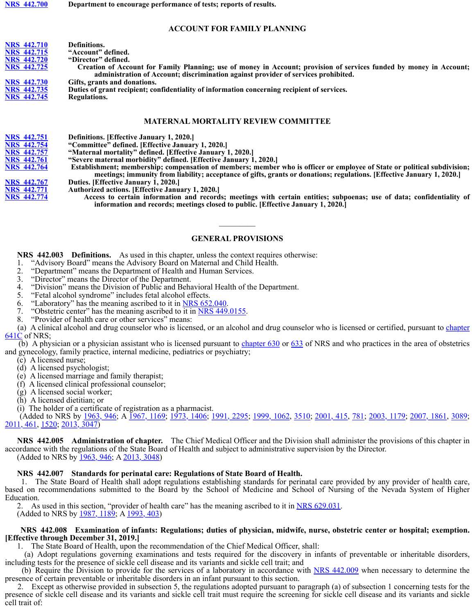#### **[ACCOUNT](https://www.leg.state.nv.us/Statutes/77th2013/Stats201311.html#Stats201311page1784) FOR FAMILY PLANNING**

| <b>NRS 442.710</b> | Definitions.                                                                                                        |
|--------------------|---------------------------------------------------------------------------------------------------------------------|
| NRS 442.715        | "Account" defined.                                                                                                  |
| NRS 442.720        | "Director" defined.                                                                                                 |
| <b>NRS 442.725</b> | Creation of Account for Family Planning; use of money in Account; provision of services funded by money in Account; |
|                    | administration of Account; discrimination against provider of services prohibited.                                  |
| <b>NRS 442.730</b> | Gifts, grants and donations.                                                                                        |
| NRS 442.735        | Duties of grant recipient; confidentiality of information concerning recipient of services.                         |
| <b>NRS 442.745</b> | Regulations.                                                                                                        |
|                    |                                                                                                                     |
|                    |                                                                                                                     |
|                    | <b>MATERNAL MORTALITY REVIEW COMMITTEE</b>                                                                          |
|                    |                                                                                                                     |

**NRS 442.751 Definition[s. \[Effective Jan](https://www.leg.state.nv.us/Statutes/61st/Stats198106.html#Stats198106page1163)uary 1, 2020.]**

**NRS 442.754 "Committee" defined. [Effective January 1, 2020.]**

**NRS 442.757 "Maternal mortality" defined. [Effective January 1, 2020.]**

**NRS 442.761 "Severe maternal morbidity" defined. [Effective January 1, 2020.]**

**NRS 442.764 Establishment; membership; compensation of members; member who is officer or employee of State or political subdivision; meetings; immunity from liability; acceptance of gifts, grants or donations; regulations. [Effective January 1, 2020.]**

**NRS 442.767 Duties. [Effective January 1, 2020.]**

**NRS 442.771 Authorized a[ctions. \[Effective J](https://www.leg.state.nv.us/NRS/NRS-442.html#NRS442Sec253)anuary 1, 2020.]**

[Access to](https://www.leg.state.nv.us/NRS/NRS-442.html#NRS442Sec250) certain information and records; meetings with certain entities; subpoenas; use of data; confidentiality of **information and records; meetings closed to public. [Effective January 1, 2020.]**

#### **GENERAL PROVISIONS**

 $\frac{1}{2}$ 

 **NRS 442.003 Definitions.** As used in this chapter, unless the context requires otherwise:

- 1. "Advisory Board" means the Advisory Board on Maternal and Child Health.
- 2. "Department" means the Department of Health and Human Services.
- 3. "Director" means the Director of the Department.
- 4. "Division" means the Division of Public and Behavioral Health of the Department.<br>5. "Fetal alcohol syndrome" includes fetal alcohol effects.
- "Fetal alcohol syndrome" includes fetal alcohol effects.
- 6. "Laboratory" has the meaning ascribed to it in NRS 652.040.
- 7. "Obstetric center" has the meaning ascribed to  $\frac{1}{11}$  in NRS 449.0155.
- 8. "Provider of health care or other services" means:

(a) A clinical alcohol and drug counselor who is licensed, or an alcohol and drug counselor who is licensed or certified, pursuant to chapter 641C of NRS;

 (b) A physician or a physician assistant who is licensed pursuant to chapter 630 or 633 of NRS and who practices in the area of obstetrics and gynecology, family practice, internal medicine, pediatrics or psychiatry;

- (c) A licensed nurse;
- (d) A licensed psychologist;
- (e) A licensed marriage and family therapist;
- (f) A licensed clinical professional counselor;
- (g) A licensed social worker;
- (h) A licensed dietitian; or

(i) The holder of a certificate of registration as a pharmacist.

 (Added to NRS by 1963, 946; A 1967, 1169; 1973, 1406; 1991, 2295; 1999, 1062, 3510; 2001, 415, 781; 2003, 1179; 2007, 1861, 3089; 2011, 461, 1520; 2013, 3047)

 **NRS 442.005 Administration of chapter.** The Chief Medical Officer and the Division shall administer the provisions of this chapter in accordance with the regulations of the State Board of Health and subject to administrative supervision by the Director. (Added to NRS by 1963, 946; A 2013, 3048)

#### **NRS 442.007 Standar[ds for perinata](https://www.leg.state.nv.us/Statutes/57th/Stats197308.html#Stats197308page1638)l ca[re: Regulation](https://www.leg.state.nv.us/Statutes/57th/Stats197307.html#Stats197307page1406)s [of State Board](https://www.leg.state.nv.us/Statutes/63rd/Stats198510.html#Stats198510page2310) [of Health.](https://www.leg.state.nv.us/Statutes/77th2013/Stats201318.html#Stats201318page3050)**

 1. The State Board of Health shall adopt regulations establishing standards for perinatal care provided by any provider of health care, based on recommendations submitted to the Board by the School of Medicine and School of Nursing of the Nevada System of Higher Education.

2. As used in this section, "provider of health care" has the meaning ascribed to it in NRS 629.031.<br>(Added to NRS by 1987, 1189; A 1993, 403)

#### **NRS 442.008 Examination of infants: Regulations; duties of physician, midwife, nurse, obstetric center or hospital; exemption. [Effective through Decembe[r 31, 2019.\]](https://www.leg.state.nv.us/Statutes/61st/Stats198110.html#Stats198110page1941)**

1. The State Board of Health, upon the recommendation of the Chief Medical Officer, shall:

 (a) Adopt regulations governing examinations and tests required for the discovery in infants of preventable or inheritable disorders, including tests for the presence of sickle cell disease and its variants and sickle cell trait; and

(b) Require t[he Division to pro](https://www.leg.state.nv.us/NRS/NRS-442.html#NRS442Sec240)vid[e for the se](https://www.leg.state.nv.us/NRS/NRS-442.html#NRS442Sec270)rvices of a laboratory in accordance with NRS 442.009 when necessary to determine the [presence of certain](https://www.leg.state.nv.us/NRS/NRS-442.html#NRS442Sec240) pr[eventable o](https://www.leg.state.nv.us/NRS/NRS-442.html#NRS442Sec270)r inheritable disorders in an infant pursuant to this section.

 2. Except as otherwise provided in subsection 5, the regulations adopted pursuant to paragraph (a) of subsection 1 concerning tests for the presence of sickle cell disease and its variants and sickle cell trait must require the screening for sickle cell disease and its variants and sickle cell trait of: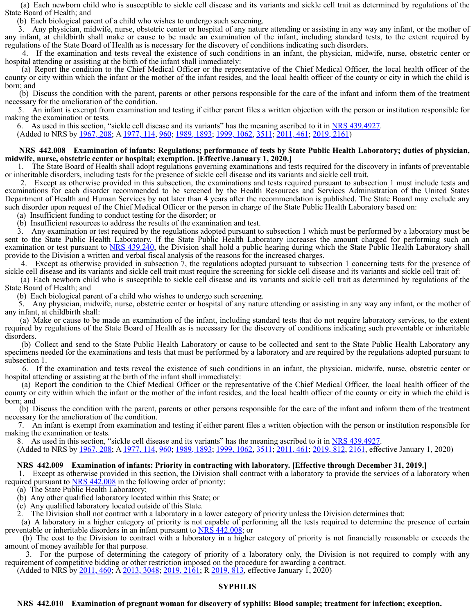(a) Each newborn child [who is suscept](https://www.leg.state.nv.us/Statutes/63rd/Stats198510.html#Stats198510page2307)ible to sickle cell disease and its variants and sickle cell trait as determined by regulations of the State Board of Health; and

(b) Each biological parent of a child who wishes to undergo such screening.

Any physician, midwife, nurse, obstetric center or hospital of any nature attending or assisting in any way any infant, or the mother of any infant, at childbirth shall make or cause to be made an examination of the infant, including standard tests, to the extent required by regulations of the State Board of Health as is necessary for the discovery of conditions indicating such disorders.

 4. If the examination and tests reveal the existence of such conditions in an infant, the physician, midwife, nurse, obstetric center or hospital attending or assisting at the birth of the infant shall immediately:

 (a) Report the condition to the Chief Medical Officer or the representative of the Chief Medical Officer, the local health officer of the county or city within which t[he infant or the](https://www.leg.state.nv.us/Statutes/57th/Stats197308.html#Stats197308page1639) mo[ther of the inf](https://www.leg.state.nv.us/Statutes/58th/Stats197502.html#Stats197502page368)a[nt resides, and](https://www.leg.state.nv.us/Statutes/63rd/Stats198510.html#Stats198510page2311) the local health officer of the county or city in which the child is born; and

 (b) Discuss the condition with the parent, parents or other persons responsible for the care of the infant and inform them of the treatment necessary for the amelioration of the condition.

 5. An infant is exempt from examination and testing if either parent files a written objection with the person or institution responsible for making the examination or tests.

6. As used in this section, "sickle cell disease a[nd its vari](https://www.leg.state.nv.us/NRS/NRS-442.html#NRS442Sec305)[ants" has the mea](https://www.leg.state.nv.us/NRS/NRS-442.html#NRS442Sec300)[nin](https://www.leg.state.nv.us/NRS/NRS-442.html#NRS442Sec310)g [ascribed t](https://www.leg.state.nv.us/NRS/NRS-442.html#NRS442Sec330)[o it in](https://www.leg.state.nv.us/NRS/NRS-442.html#NRS442Sec315) <u>NRS 439.4927</u>.<br>(Added to NRS by <u>1967, 208</u>; A <u>1977, 114, 960; [1989, 1893; 1999,](https://www.leg.state.nv.us/NRS/NRS-442.html#NRS442Sec305) 1[062, 3511;](https://www.leg.state.nv.us/NRS/NRS-442.html#NRS442Sec310) 2011, [461; 2019](https://www.leg.state.nv.us/NRS/NRS-442.html#NRS442Sec315), 2161</u>)

#### **NRS 442.008 Examin[ation of infant](https://www.leg.state.nv.us/Statutes/70th/Stats199922.html#Stats199922page3509)s: Regulations; performance of tests by State Public Health Laboratory; duties of physician, midwife, nurse, obstetric center or hospital; exemption. [Effective January 1, 2020.]**

 1. The State Board of Health shall adopt regulations governing examinations and tests required for the discovery in infants of preventable or inheritable disorders, including tests for the presence of sickle cell disease and its variants and sickle cell trait.

 2. Except as otherwise [provided in th](https://www.leg.state.nv.us/Statutes/70th/Stats199922.html#Stats199922page3509)is subsection, the examinations and tests required pursuant to subsection 1 must include tests and examinations for each disorder recommended to be screened by the Health Resources and Services Administration of the United States Department of Health and Human Services by not later than 4 years after the recommendation is published. The State Board may exclude any such disorder upon request of the Chief Medical Officer or the person in charge of the State Public Health Laboratory based on:

(a) Insufficient funding to conduct testing for the disorder; or

(b) Insufficient resources [to address the](https://www.leg.state.nv.us/Statutes/70th/Stats199922.html#Stats199922page3509) results of the examination and test.

 3. Any examination or test required by the regulations adopted pursuant to subsection 1 which must be performed by a laboratory must be sent to the State Public Health Laboratory. If the State Public Health Laboratory increases the amount charged for performing such an examination or test pursuant to NRS 439.240, the Division shall hold a public hearing during which the State Public Health Laboratory shall [provide to the Div](https://www.leg.state.nv.us/NRS/NRS-442.html#NRS442Sec320)ision a written and verbal fiscal analysis of the reasons for the increased charges.

 4. Except as otherwise provided in subsection 7, the regulations adopted pursuant to subsection 1 concerning tests for the presence of sickle cell disease and its vari[ants and sickle](https://www.leg.state.nv.us/Statutes/70th/Stats199922.html#Stats199922page3509) cell trait must require the screening for sickle cell disease and its variants and sickle cell trait of:

 (a) Each newborn child who is susceptible to sickle cell disease and its variants and sickle cell trait as determined by regulations of the State Board of Health; and

(b) Each biological parent of a child who wishes to undergo such screening.

 5. Any physician, midwife, nurse, obstetric center or hospital of any nature attending or assisting in any way any infant, or the mother of any infant, at childbirth shall:

 (a) Make or cause to be made an examination of the infant, including standard tests that do not require laboratory services, to the extent required by regulations of the State Board of Health as is necessary for the discovery of conditions indicating such preventable or inheritable disorders.

 (b) Collect and send to the State Public Health Laboratory or cause to be collected and sent to the State [Public Health Lab](https://www.leg.state.nv.us/NRS/NRS-442.html#NRS442Sec300)ora[tory any](https://www.leg.state.nv.us/NRS/NRS-442.html#NRS442Sec330) specimens needed for the examinations and tests that must be performed by a laboratory and are required by the regulations adopted pursuant to subsection 1.

 6. If the examination and tests reveal the existence of such conditions in an infant, the physician, midwife, nurse, obstetric center or hospital attending or assisting at the birth of the infant shall immediately:

 (a) Report the condition to the Chief Medical Officer or the representative of the Chief Medical Officer, the local health officer of the county or city within which the infant or the mother of the infant resides, and the local health officer of the county or city in which the child is born; and

 (b) Discuss the condition with [the parent, parents](https://www.leg.state.nv.us/NRS/NRS-442.html#NRS442Sec300) or [other person](https://www.leg.state.nv.us/NRS/NRS-442.html#NRS442Sec330)s responsible for the care of the infant and inform them of the treatment necessary for the amelioration of the condition.

 7. An infant is exempt f[rom examinati](https://www.leg.state.nv.us/Statutes/70th/Stats199922.html#Stats199922page3509)on and testing if either parent files a written objection with the person or institution responsible for making the examination or tests.

8. As used in this section, "sickle cell disease and its variants" has the meaning ascribed to it in NRS 439.4927.<br>(Added to NRS by 1967, 208; A 1977, 114, 960; 1989, 1893; 1999, 1062, 3511; 2011, 461; 2019, 812, 2161, eff

#### **NRS 442.009 Examination of infants: Priority in contracting with laboratory. [Effective through December 31, 2019.]**

 1. Except as otherwise provided in this section, the Division shall contract with a laboratory to provide the services of a laboratory when required pursuant to  $NRS\,442.008$  in the following order of priority:

(a) The State Public Health Laboratory;

(b) Any other qualified laboratory located within this State; or

(c) Any qualified laboratory located outside of this State.

2. The Division shall not contract with a laboratory in a lower category of priority unless the Division determines that:

 (a) A laboratory in a higher category of priority is not capable of performing all the tests required to determine the presence of certain preventable or inheritable disorders in an infant pursuant to NRS 442.008; or

 (b) The cost to the Division to contract with a laboratory in a higher category of priority is not financially reasonable or exceeds the amount of money available for that purpose.

 3. For the purpose of determining the category of priority of a laboratory only, the Division is not required to comply with any requirement of competitive bidding or other restriction imposed on the procedure for awarding a contract.

(Added to NRS by 2011, 460; A 2013, 3048; 2019, 2161; R 2019, 813, effective January 1, 2020)

#### **SYPHILIS**

#### **NRS 442.010 Examination of pregnant woman for discovery of syphilis: Blood sample; treatment for infection; exception.**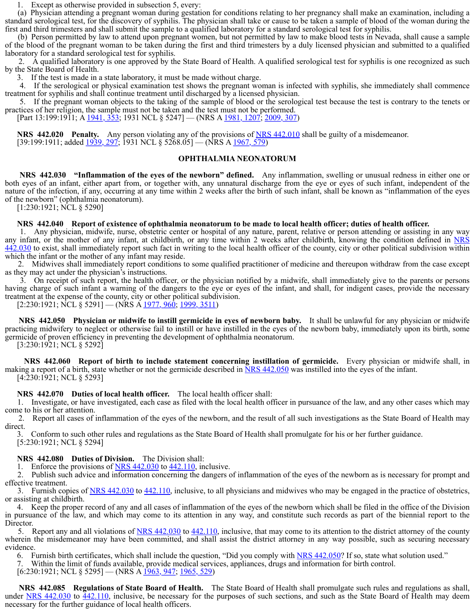1. Except as otherwise provided in subsection 5, every:

 (a) Physician attending a pregnant woman during gestation for conditions relating to her pregnancy shall make an examination, including a standard serological test, for the discovery of syphilis. The physician shall take or cause to be taken a sample of blood of the woman during the first and third trimesters and shall submit the sample to a qualified laboratory for a standard serol[ogical test for syph](https://www.leg.state.nv.us/NRS/NRS-449.html#NRS449Sec012)ilis.

 (b) Person permitted by l[aw to attend up](https://www.leg.state.nv.us/Statutes/70th/Stats199922.html#Stats199922page3509)on pregnant women, but not permitted by law to make blood tests in Nevada, shall cause a sample of the blood of the pregnant woman to be taken during the first and third trimesters by a duly licensed physician and submitted to a qualified laboratory for a standard serological test for syphilis.

 2. A qualified laboratory is one approved by the State Board of Health. A qualified serological test for syphilis is one recognized as such by the State Board of Health.

3. If the test is made in a state laboratory, it mus[t be made without](https://www.leg.state.nv.us/NRS/NRS-439.html#NRS439Sec538) charge.

If the serological or physical examination test shows the pregnant woman is infected with syphilis, she immediately shall commence treatment for syphilis and shall continue treatment until discharged by a licensed physician.

 5. If the pregnant woman objects to the taking of the sample of blood or the serological test because the test is contrary to the tenets or practices of her religion, the sample must not be taken and the test must not be performed.

[Part 13:199:1911; A 1941, 353; 1931 NCL § 5247] — (NRS A 1981, 1207; 2009, 307)

**NRS** 442.020 Penalty. Any person violating any of the provisions of NRS 442.010 shall be guilty of a misdemeanor. [39:199:1911; added <u>1939, 297</u>; 1931 NCL § 5268.05] — (NRS A <u>1967, 579</u>)

#### **OPHTHALMIA NEONATORUM**

 **NRS 442.030 "Inflammation of the eyes of the newborn" defined.** Any inflammation, swelling or unusual redness in either one or both eyes of an infant, either apart from, or together with, any unnatural discharge from the eye or eyes of such infant, independent of the nature of the infection, if any, occurring at any time within 2 weeks after the birth of such infant, shall be known as "inflammation of the eyes of the newborn" (ophthalmia neonatorum).

[1:230:1921; NCL § 5290]

#### **NRS 442.040 Report of existence of ophthalmia neonatorum to be made to local health officer; duties of health officer.**

 1. Any physician, midwife, nurse, obstetric center or hospital of any nature, parent, relative or person attending or assisting in any way any infant, or the mother of any infant, at childbirth, or any time within 2 weeks after childbirth, knowing the condition defined in NRS 442.030 to exist, shall immed[iately report su](https://www.leg.state.nv.us/Statutes/70th/Stats199922.html#Stats199922page3510)ch f[act in writing t](https://www.leg.state.nv.us/Statutes/74th/Stats200716.html#Stats200716page1978)o the local health officer of the county, city or other political subdivision within which the infant or the mother of any infant may reside.

 2. Midwives shall immediately report conditions to some qualified practitioner of medicine and thereupon withdraw from the case except as they may act under the physician's instructions.

 3. On receipt of such report, the health officer, or the physician notified by a midwife, shall immediately give to the parents or persons having charge of such infant a warning of the dangers to the eye or eyes of the infant, and shall, for indigent cases, provide the necessary treatment at the expense of the county, city or other political subdivision.

 $[2:230:1921; \text{NCL} \$   $5291]$  — (NRS A  $\frac{1977, 960}{1999, 3511}$ )

 **NRS 442.050 Physician or midwife to instill germicide in eyes of newborn baby.** It shall be unlawful for any physician or midwife practicing midwifery to neglect or otherwise fail to instill or have instilled in the eyes of the newborn baby, immediately upon its birth, some germicide of proven efficiency in preventing the development of ophthalmia neonatorum.

[3:230:1921; NCL § 5292]

**NRS** 442.060 Report of birth to include statement concerning instillation of germicide. Every physician or midwife shall, in making a report of a birth, state whether or not the germicide described in NRS 442.050 was instilled into the eyes of the infant. [4:230:1921; NCL § 5293]

 **NRS 442.070 Duties of local health officer.** The local health officer shall:

 1. Investigate, or have investigated, each case as filed with the local health officer in pursuance of the law, and any other cases which may come to his or her attention.

 2. Report all cases of inflammation of the eyes of the newborn, and the result of all such investigations as the State Board of Health may direct.

 3. Conform to such other rules and regulations as the State Board of Health shall promulgate for his or her further guidance. [5:230:1921; NCL § 5294]

 **NRS 442.080 Duties of Division.** The Division shall:

1. Enforce the provisions of NRS 442.030 to 442.110, inclusive.

 2. Publish such advice and information concerning the dangers of inflammation of the eyes of the newborn as is necessary for prompt and effective treatment.

3. Furnish copies of NRS 442.030 to 442.110, inclusive, to all physicians and midwives who may be engaged in the practice of obstetrics, or assisting at childbirth.

 4. Keep the proper record of any and all cases of inflammation of the eyes of the newborn which shall be filed in the office of the Division in pursuance of the law, and which may come to its attention in any way, and constitute such records as part of the biennial report to the Director.

5. Report any and all violations of NRS 442.030 to 442.110, inclusive, that may come to its attention to the district attorney of the county wherein the misdemeanor m[ay have been](https://www.leg.state.nv.us/Statutes/76th2011/Stats201107.html#Stats201107page824) committed, and shall assist the district attorney in any way possible, such as securing necessary evidence.

6. Furnish birth certificates, which shall include the question, "Did you comply with NRS 442.050? If so, state what solution used."

7. Within the limit of funds available, provide medical services, appliances, drugs and information for birth control.

 $[6:230:1921; NCL \S 5295]$  — (NRS A  $\overline{1963}$ , 947, 1965, 529)

 **NRS 442.085 Regulations of State Board of Health.** The State Board of Health shall promulgate such rules and regulations as shall, under NRS 442.030 to 442.110, inclusive, be necessary for the purposes of such sections, and such as the State Board of Health may deem necessary for the further guidance of local health officers.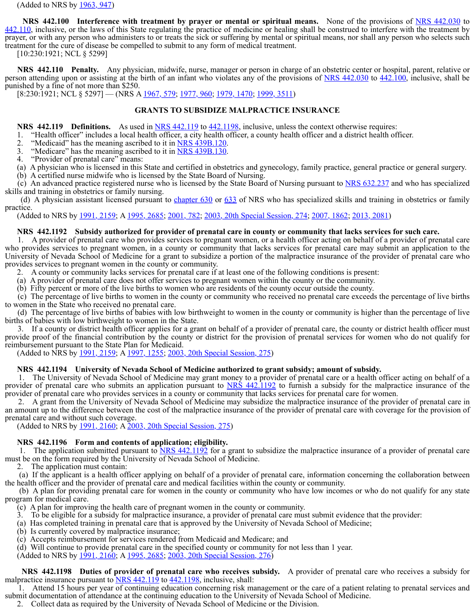(Added to NRS by  $1963, 947$ )

**NRS** 442.100 Interference with treatment by prayer or mental or spiritual means. [None of the provi](https://www.leg.state.nv.us/NRS/NRS-442.html#NRS442Sec420)sions of NRS 442.030 to 442.110, inclusive, or the laws of this State regulating the practice of medicine or healing shall be construed to interfere with the treatment by prayer, or with any person who administers to or treats the sick or suffering by mental or spiritual means, nor shall any person who selects such treatment for the cure of disease be compelled to submit to any form of medical treatment.

[10:230:1921; NCL § 5299]

**NRS** 442.110 Penalty. Any physician, midwife, nurse, manager or person in charge of an obstetric center or hospital, parent, relative or person attending upon or assisting at the birth of an infant who violates any of the provisions of NRS 442.030 to 442.100, inclusive, shall be punished by a fine of not more than \$250.

[8:230:1921; NCL § 5297] — (NRS A 1967, 579; 1977, 960; 1979, 1470; 1999, 3511)

## **GRAN[TS TO SUBSID](https://www.leg.state.nv.us/Statutes/72nd/Stats200311.html#Stats200311page1360)IZE MALPRACTICE INSURANCE**

**NRS** 442.119 **Definitions.** [As used i](https://www.leg.state.nv.us/Statutes/70th/Stats199907.html#Stats199907page1059)n NRS 442.119 to 442.1198, inclusive, unless the context otherwise requires:

- 1. "Health officer" includes a local health officer, a city health officer, a county health officer and a district health officer.
- "Medicaid" has the meaning ascribed to it in NRS 439B.120.
- 3. "Medicare" has the meaning ascribed to it in NRS 439B.130.
- "Provider of prenatal care" means:
- (a) A physician who is licensed in this State and certified in obstetrics and gynecology, family practice, general practice or general surgery.
- (b) A certified nurse midwife who is licensed by the State Board of Nursing. (c) An advanced practice registered nurse w[ho is licensed b](https://www.leg.state.nv.us/Statutes/72nd/Stats200311.html#Stats200311page1361)y the State Board of Nursing pursuant to NRS 632.237 and who has specialized

skills and training in obstetric[s or family nur](https://www.leg.state.nv.us/Statutes/70th/Stats199907.html#Stats199907page1060)sing. (d) A physician assistant licensed pursuant to chapter  $630$  or  $633$  of NRS who has specialized skills and training in obstetrics or family practice.

practice.<br>
(Added to NRS by <u>1991, 2159</u>; A <u>1995, 2685; 2001, 782; 2003, 20th Special Ses[sion, 274; 2](https://www.leg.state.nv.us/NRS/NRS-439.html#NRS439Sec538)007, 1862; 2013, 2081</u>)

#### **NRS 442.1192 Subsidy authorized for provider of prenatal care in county or community that lacks services for such care.**

 1. A provider of prenatal care who provides services to pregnant women, or a health officer acting on behalf of a provider of prenatal care who provides services to pregnant women, in a county or community that lacks services for prenatal care may submit an application to the University of Nevada School of Medicine for a grant to subsidize a portion of the malpractice insurance of the provider of prenatal care who provides services to pregnant [women in the c](https://www.leg.state.nv.us/Statutes/70th/Stats199907.html#Stats199907page1060)oun[ty or communi](https://www.leg.state.nv.us/Statutes/74th/Stats200716.html#Stats200716page1978)ty.

2. A county or community lacks services for prenatal care i[f at leas](https://www.leg.state.nv.us/Statutes/74th/Stats200717.html#Stats200717page2109)t one of the following conditions is present:

- (a) A provider of prenatal care does not offer services to pregnant women within the county or the community.
- (b) Fifty percent or more of the live births to women who are residents of the county occur outside the county.

 (c) The percentage of live births to women in the county or community who received no prenatal care exceeds the percentage of live births to women in the State who received no prenatal care.

 (d) The percentage of live births of babies with low birthweight to women in the county or community is higher than the percentage of live births of babies with low birthweight to women in the State.

 3. If a county or district health officer applies for a grant on behalf of a provider of prenatal care, the county or district health officer must provide proof of the financial contribution by the county or district for the provision of prenatal services for [women who do n](https://www.leg.state.nv.us/NRS/NRS-127.html#NRS127Sec152)ot qualify for reimbursement pursuant to the State Plan for Medicaid.

(Added to NRS by <u>1991, 2159</u>; A <u>1997, 1255</u>; 2003, 20th Special Session, 275)</u>

#### **NRS 442.1194 Univer[sity of Nevada](https://www.leg.state.nv.us/Statutes/70th/Stats199907.html#Stats199907page1060) Sch[ool of Medicine authorized to g](https://www.leg.state.nv.us/Statutes/17thSS/Stats2001SS1701.html#Stats2001SS1701page54)rant subsidy; amount of subsidy.**

 1. The University of Nevada School of Medicine may grant money to a provider of prenatal care or a health officer acting on behalf of a provider of prenatal care who submits an application pursuant to NRS 442.1192 to furnish a subsidy for the malpractice insurance of the provider of prenatal care who provides services in a county or community that lacks services for prenatal care for women.

 2. A grant from the University of Nevada School of Medicine may subsidize the malpractice insurance of the provider of prenatal care in an amount up to the difference between the cost of the malpractice insurance of the provider of prenatal care with coverage for the provision of prenatal care and without such coverage.

(Added to NRS by <u>1991, 2160</u>; A 2003, 20th Special Session, 275)

#### **NRS 442.1196 Form and contents of application; eligibility.**

1. The application submitted pursuant to  $\overline{NRS}$  442.1192 for a grant [to subsidize the m](https://www.leg.state.nv.us/NRS/NRS-424.html#NRS424Sec038)alpractice insurance of a provider of prenatal care must be on the form required by the University of Nevada School of Medicine.

2. The application must contain:

 (a) If the applicant is a health officer applying on behalf of a provider of prenatal care, information conc[erning the collabor](https://www.leg.state.nv.us/NRS/NRS-424.html#NRS424Sec013)ation between the health officer and the pro[vider of prenata](https://www.leg.state.nv.us/Statutes/70th/Stats199907.html#Stats199907page1061)l car[e and medical facilities within th](https://www.leg.state.nv.us/Statutes/17thSS/Stats2001SS1701.html#Stats2001SS1701page54)[e county or com](https://www.leg.state.nv.us/Statutes/77th2013/Stats201309.html#Stats201309page1455)munity.

 (b) A plan for providing prenatal care for women in the county or community who have low incomes or who do not qualify for any state program for medical care.

- (c) A plan for improving the health care of pregnant women in the county or community.
- 3. To be eligible for a subsidy for malpractice insurance, a provider of prenatal care must submit evidence that the provider:
- (a) Has completed training in prenatal care that is approved by the University of Nevada School of Medicine;
- (b) Is currently covered by malpractice insurance;
- (c) Accepts reimbursement for services rendered from Medicaid and Medicare; and

(d) Will continue to provide prenatal care in the specified county or community for not les[s than 1 year.](https://www.leg.state.nv.us/NRS/NRS-432B.html#NRS432BSec540)

(a) will commute to provide prehatal care in the specifica county of community<br>(Added to NRS by <u>1991, 2160</u>; A <u>1995, 2685; 2003, 20th Special Session, 276</u>)

**NRS** 442.1198 Duties of provider of prenatal care who receives subsidy. A provider of prenatal care who receives a subsidy for malpractice insurance pursuant to NRS 442.119 to 442.1198, inclusive, shall:

 1. Attend 15 hours per [year of continu](https://www.leg.state.nv.us/Statutes/70th/Stats199907.html#Stats199907page1061)ing [education concerning risk manag](https://www.leg.state.nv.us/Statutes/17thSS/Stats2001SS1701.html#Stats2001SS1701page54)ement or the care of a patient relating to prenatal services and submit documentation of attendance at the continuing education to the University of Nevada School of Medicine.

2. Collect data as required by the University of Nevada School of Medicine or the Division.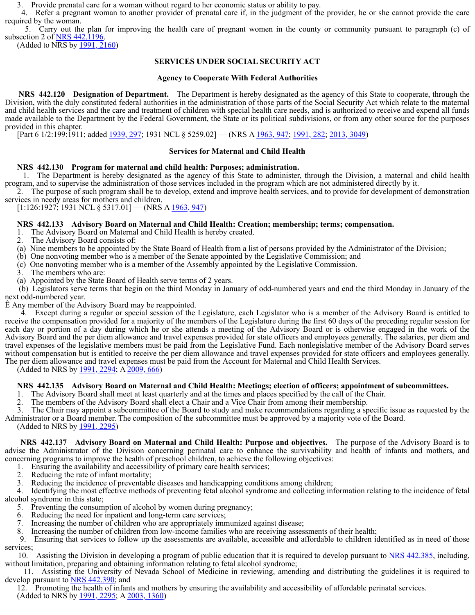3. Provide prenatal care for a woman without regard to her economic status or ability to pay.

 4. Refer a pregnant w[oman to anothe](https://www.leg.state.nv.us/Statutes/70th/Stats199907.html#Stats199907page1061)r pr[ovider of prena](https://www.leg.state.nv.us/Statutes/77th2013/Stats201318.html#Stats201318page3051)tal care if, in the judgment of the provider, he or she cannot provide the care required by the woman.

5. Carry out the plan for improving the health care of pregnant women in the county or community pursuant to paragraph (c) of subsection 2 of NRS 442.1196.

(Added to NRS by  $1991, 2160$ )

# **SERVICES UNDER SOCIAL SECURITY ACT**

#### **Agency to Cooperate With Federal Authorities**

**NRS** 442.120 **Designation of Department.** The Department is hereby designated as the agency of this State to cooperate, through the Division, with the duly constituted federal authorities in the administration of those parts of the Social Security Act which relate to the maternal and child health services and [the care and tre](https://www.leg.state.nv.us/Statutes/70th/Stats199907.html#Stats199907page1061)atment of children with special health care needs, and is authorized to receive and expend all funds made available to the Department by the Federal Government, the State or its political subdivisions, or from any other source for the purposes provided in this chapter.

[Part 6 1/2:199:1911; added 1939, 297; 1931 NCL § 5259.02] — (NRS A 1963, 947; 1991, 282; 2013, 3049)

## **Services fo[r Maternal and C](https://www.leg.state.nv.us/NRS/NRS-442.html#NRS442Sec385)hil[d Health](https://www.leg.state.nv.us/NRS/NRS-442.html#NRS442Sec425)**

## **NRS 442.130 Program for maternal and child health: Purposes; administration.**

 1. The Department is hereby designated as the agency of this State to administer, through the Division, a maternal and child health program, and to supervise the administration of those services included in the program which are not administered directly by it.

 2. The purpose of such program shall be to develop, extend and improve health services, and to provide for [development of de](https://www.leg.state.nv.us/NRS/NRS-442.html#NRS442Sec385)mo[nstration](https://www.leg.state.nv.us/NRS/NRS-442.html#NRS442Sec425) services in needy areas for mothers and children.

 $[1:126:1927; 1931 \text{ NCL} \$  5317.01] — (NRS A  $\frac{1963, 947}{2}$ )

## **NRS 442.133 Advisor[y Board on Ma](https://www.leg.state.nv.us/Statutes/70th/Stats199907.html#Stats199907page1060)ter[nal and Child H](https://www.leg.state.nv.us/Statutes/72nd/Stats200311.html#Stats200311page1361)ealth: Creation; membership; terms; compensation.**

1. The Advisory Board on Maternal and Child Health is hereby created.

2. The Advisory Board consists of:

(a) Nine members to be appointed by the State Board of Health from a list of persons provided by the Administrator of the Division;

- (b) One nonvoting member who is a member of the Senate appointed by the Legislative Commission; and
- (c) One nonvoting member who is a member of the Asse[mbly appointed by](https://www.leg.state.nv.us/NRS/NRS-442.html#NRS442Sec500) [the](https://www.leg.state.nv.us/NRS/NRS-442.html#NRS442Sec520) [Legislative](https://www.leg.state.nv.us/NRS/NRS-442.html#NRS442Sec590) [Com](https://www.leg.state.nv.us/NRS/NRS-442.html#NRS442Sec530)mission.
- 3. The members who are:
- (a) Appointed by the State Board of Health serve [terms of 2 years.](https://www.leg.state.nv.us/NRS/NRS-442.html#NRS442Sec510)

 (b) Legislators serve ter[ms that begin o](https://www.leg.state.nv.us/Statutes/71st/Stats200116.html#Stats200116page2460)n the third Monday in January of odd-numbered years and end the third Monday in January of the next odd-numbered year.

Ê Any member of the Advisory Board may be reappointed.

 4. Except during a regular or special session of the Legislature, each Legislator who is a member of the Advisory Board is entitled to receive the compensation provided for a majority of the members of the Legislature during the first 60 days of the preceding regular session for each day or portion of a day during which he or she attends a meeting of the Advisory Board or is otherwise engaged in the work of the Advisory Board and the per d[iem allowance](https://www.leg.state.nv.us/Statutes/71st/Stats200116.html#Stats200116page2460) and travel expenses provided for state officers and employees generally. The salaries, per diem and travel expenses of the legislative members must be paid from the Legislative Fund. Each nonlegislative member of the Advisory Board serves without compensation but is entitled to receive the per diem allowance and travel expenses provided for state off[icers and employe](https://www.leg.state.nv.us/NRS/NRS-449.html#NRS449Sec012)es generally. The per diem allowance and travel expenses must be paid from the Account for Maternal and Child Health Services.

(Added to NRS by 1991, [2294; A 2009, 6](https://www.leg.state.nv.us/Statutes/71st/Stats200116.html#Stats200116page2460)66)

#### **NRS 442.135 Advisory Board on Maternal and Child Health: Meetings; election of officers; appointment of subcommittees.**

1. The Advisory Board shall meet at least quarterly and at the times and places specified by the call of the Chair.

2. The members of the Advisory Board shall elect a Chair and a Vice Chair from among their membership.

 3. The Chair may appoint a subcommittee of the [Board to study and](https://www.leg.state.nv.us/NRS/NRS-442.html#NRS442Sec500) mak[e recomme](https://www.leg.state.nv.us/NRS/NRS-442.html#NRS442Sec590)ndations regarding a specific issue as requested by the Administrator or a Board member. The composition of the subcommittee must be approved by a majority vote of the Board. (Added to NRS by 1991, 2295)

 **NRS 442.137 Advisory Board on Maternal and Child Health: Purpose and objectives.** The purpose of the Advisory Board is to advise the Administrator of [the Division c](https://www.leg.state.nv.us/Statutes/71st/Stats200116.html#Stats200116page2460)oncerning perinatal care to enhance the survivability and health of infants and mothers, and concerning programs to improve the health of preschool children, to achieve the following objectives:

1. Ensuring the availability and accessibility of primary care health services;

- 2. Reducing the rate of infant mortality;
- 3. Reducing the incidence of preventable diseases and handicapping conditions among children;<br>4. Identifying the most effective methods of preventing fetal alcohol syndrome and collecting in

Identifying the most effective methods of preventing fetal alcohol synd[rome and collecting](https://www.leg.state.nv.us/NRS/NRS-442.html#NRS442Sec560) information relating to the incidence of fetal alcohol syndrome in this state;

- 5. Preventing the consumption of alcohol by women during pregnancy;
- 6. Reducing the need for inpatient and long-term care services;
- 7. Increasing the number of children who are appropriately immunized against disease;
- 8. Increasing the number of children from low-income families who are receiving assessments of their health;

 9. Ensuring that services to follow up the assessments are available, accessible and affordable to children identified as in need of those services;

 10. Assisting the Division in developing a program of public education that it is required to develop pursuant to NRS 442.385, including, without limitation, preparing and obtaining information relating to fetal alcohol syndrome;

 11. Assisting [the Univer](https://www.leg.state.nv.us/NRS/NRS-442.html#NRS442Sec590)sity of Nevada School of Medicine in reviewing, amending and distributing the guidelines it is required to [develop pursuant t](https://www.leg.state.nv.us/NRS/NRS-442.html#NRS442Sec500)o NRS 442.390; and

 12. Promoting the healt[h of infants and](https://www.leg.state.nv.us/Statutes/71st/Stats200116.html#Stats200116page2461) mothers by ensuring the availability and accessibility of affordable perinatal services. (Added to NRS by 1991, 2295; A 2003, 1360)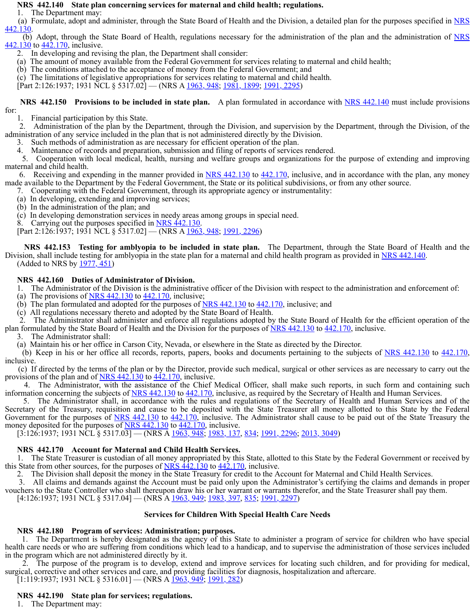#### **NRS 442.140 State plan concerning services for maternal and child health; regulations.**

1. The Department may:

(a) Formulate, adopt and administer, through th[e State Board of H](https://www.leg.state.nv.us/NRS/NRS-442.html#NRS442Sec540)ealth and the Division, a detailed plan for the purposes specified in NRS<br>442.130.

(b) Adopt, through the State Board of Health, regulations necessary for the administration of the plan and the administration of NRS 442.130 to 442.170, inclusive.

2. In developing and revising the plan, the Department shall consider:

 [\(a\)](https://www.leg.state.nv.us/NRS/NRS-442.html#NRS442Sec590) The amount of money available from the Federal Government for services relating to maternal and child health;

(b) The conditions attached to the acceptance of money from the Federal Government; and

(c) The limitations of legislative appropriations for services relating to maternal and child health.

[Part 2:126:1937; 1931 NCL § 5317.02] — (NRS A 1963, 948; 1981, 1899; 1991, 2295)

 **NRS 442.150 Provisions to be included in state plan.** A plan formulated in accordance with NRS 442.140 must include provisions

for:

1. Financial participation by this State.

 2. Administration of the plan by the Department, through the Division, and supervision by the Department, through the Division, of the administration of any service included in the plan that is not administered directly by the Division.

3. Such methods of administration as are necessary for efficient operation of the plan.

4. Maintenance of records and preparation, submission and filing of reports of services rendered.

 5. Cooperation with local medical, health, nursing and welfare groups and organizations for the purpose of extending and improving maternal and child health.

6. Receiving and expending in the manner provided in NRS 442.130 to 442.170, inclusive, and in accordance with the plan, any money made available to the Department by the Federal Government, the State or its political subdivisions, or from any other source.

7. Cooperating with the Federal Government, through its appropriate agency or instrumentality:

- (a) In developing, extending and improving services;
- (b) In the administration of the plan; and

(c) In developing demonstration services in needy areas among groups in spe[cial need.](https://www.leg.state.nv.us/NRS/NRS-442.html#NRS442Sec500)

8. Carrying out the purposes specified in <u>NRS 442.130</u>.<br>[Part 2:126:1937; 1931 NCL § 5317.02] — (NRS A <u>1963, 948; 1991, 2296</u>)

**NRS** 442.153 Testin[g for amblyop](https://www.leg.state.nv.us/Statutes/71st/Stats200116.html#Stats200116page2461)ia to be included in state plan. The Department, through the State Board of Health and the Division, shall include testing for amblyopia in the state plan for a maternal and child health program as provided in NRS 442.140. (Added to NRS by 1977, 451)

## **NRS 442.160 Duties of Administrator of Division.**

1. The Administrator of the Division is the administrative officer of the Division with respect to the administration and enforcement of:

- (a) The provisions of  $NRS$  442.130 to 442.170, inclusive;
- (b) The plan formulated and adopted for the purposes of  $NRS$  442.130 to  $442.170$ , inclusive; and
- (c) All regulations necessary thereto and adopted by the State Board of Health.

 2. The Administrator shall administer and enforce all regulations adopted by the State Board of Health for the efficient operation of the plan formulated by the State [Board of Health](https://www.leg.state.nv.us/Statutes/71st/Stats200116.html#Stats200116page2461) and the Division for the purposes of NRS 442.130 to 442.170, inclusive.

3. The Administrator shall:

(a) Maintain his or her office in Carson City, Nevada, or elsewhere in the State as directed by the Director.

(b) Keep in his or her office all records, reports, papers, books and documents pertaining to the subjects of NRS 442.130 to 442.170, inclusive.

 (c) If directed by the terms of the plan or by the Director, provide such medic[al, surgical or othe](https://www.leg.state.nv.us/NRS/NRS-442.html#NRS442Sec540)r services as are necessary to carry out the provisions of the plan and of **NRS 442.130** to 442.170, inclusive.

4. The Administrator, with the assistance of the Chief Medical Officer, shall make such reports, in such form and containing such information concerning the s[ubjects of NRS](https://www.leg.state.nv.us/Statutes/71st/Stats200116.html#Stats200116page2462) 442.130 to 442.170, inclusive, as required by the Secretary of Health and Human Services.

 5. The Administrator shall, in accordance with the rules and regulations of the Secretary of Health and Human Services and of the Secretary of the Treasury, requisition and cause to be deposited with the State Treasurer all money allotted to this State by the Federal Government for the purposes of NRS 442.130 to 442.170, inclusive. The Administrator shall cause to be paid out of the State Treasury the money deposited for the purposes of NRS  $442.130$  to  $442.170$ , inclusive.

[3:126:1937; 1931 NCL § 5317.03] — (NRS A 1963, 948; 1983, 137, 834; 1991, 2296; 2013, 3049)

# **NRS 442.170 Account for Maternal and Child Health Services.**

 1. The State Treasurer i[s custodian of a](https://www.leg.state.nv.us/Statutes/71st/Stats200116.html#Stats200116page2462)ll money appropriated by this State, allotted to this State by the Federal Government or received by this State from other sources, for the purposes of  $NRS$   $\frac{442.130}{442.170}$ , inclusive.

2. The Division shall deposit the money in the State Treasury for credit to the Account for Maternal and Child Health Services.

 3. All claims and demands against the Account must be paid only upon the Administrator's certifying the claims and demands in proper vouchers to the State Controller who shall thereupon draw his or her warrant or warrants therefor, and the State Treasurer shall pay them.

[4:126:1937; 1931 NCL § 5317.04] — (NRS A 1963, 949; 1983, 397, 835; 1991, 2297)

#### **Services for Children With Special Health Care Needs**

# **NRS 442.180 Program of services: Administration; purposes.**

 1. The Department is hereby designated as the agency of this State to administer a program of service for children who have special health care needs or who are suffering from conditions which lead to a handicap, and to supervise the administration of those services included in the program which are not administered directly by it.

 2. The purpose of the [program is to](https://www.leg.state.nv.us/Statutes/71st/Stats200116.html#Stats200116page2462) develop, extend and improve services for locating such children, and for providing for medical, surgical, corrective and other services and care, and providing facilities for diagnosis, hospitalization and aftercare.  $[1:119:1937; 1931 \text{ NCL} \$   $5316.01]$  — (NRS A  $\overline{1963}$ ,  $\overline{949}$ ,  $\overline{1991}$ ,  $\overline{282}$ )

# **NRS 442.190 State plan for services; regulations.**

1. The Department may: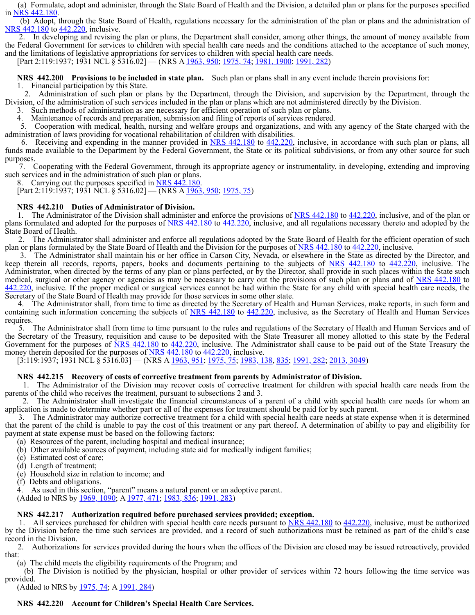(a) Formulate, adopt and administer, through the [State Board of He](https://www.leg.state.nv.us/NRS/NRS-442.html#NRS442Sec610)alth a[nd the Divi](https://www.leg.state.nv.us/NRS/NRS-442.html#NRS442Sec620)sion, a detailed plan or plans for the purposes specified

in NRS 442.180.<br>(b) Adopt, through the State Board of Health, regulations necessary for the administration of the plan or plans and the administration of NRS 442.180 to 442.220, inclusive.

 2. In developing and re[vising the plan](https://www.leg.state.nv.us/Statutes/74th/Stats200719.html#Stats200719page2366) or plans, the Department shall consider, among other things, the amount of money available from the Federal Government for services to children with special health care needs and the conditions attached to the acceptance of such money, and the limitations of legislative appropriations for services to children with special health care needs. [Part 2:119:1937; 1931 NCL § 5316.02] — (NRS A 196[3, 950; 1975, 74; 1](https://www.leg.state.nv.us/NRS/NRS-629.html#NRS629Sec031)981, 1900; 1991, 282)

**NRS** 442.200 Provisions to be included in state plan. [Such plan or p](https://www.leg.state.nv.us/NRS/NRS-449.html#NRS449)lans shall in any event include therein provisions for: 1. Financial participation by this State.

 2. Administration of [such plan or p](https://www.leg.state.nv.us/Statutes/74th/Stats200719.html#Stats200719page2367)lans by the Department, through the Division, and supervision by the Department, through the Division, of the administration of such services included in the plan or plans which are not administered directly by the Division.

Such methods of administration as are necessary for efficient operation of such plan or plans.

Maintenance of records and preparation, submission and filing of reports of services rendered.

 5. Cooperation with medical, health, nursing and welfare groups and organizations, and with any agency of the State charged with the administration of laws providing for vocational rehabilitation of children with disabilities.

 6. Receiving and expending in the manner provided in NRS 442.180 to 442.220, inclusive, in accordance with such plan or plans, all funds made available to the [Department by](https://www.leg.state.nv.us/Statutes/74th/Stats200719.html#Stats200719page2367) the Federal Government, the State or its political subdivisions, or from any other source for such purposes.

 7. Cooperating with the Federal Government, through its appropriate agency or instrumentality, in developing, extending and improving such services and in the administration of such plan or plans.<br>8. Carrying out the purposes specified in NRS 442.180.

 $[Part 2:119:1937; 1931 NCL \$   $\overline{\$}316.02]$  — (NRS A 1963, 950; 1975, 75)

#### **NRS 442.210 Duties of Ad[ministrator of Divi](https://www.leg.state.nv.us/NRS/NRS-442.html#NRS442Sec600)sion.**

 1. The Administrator of the Division shall administ[er and enfor](https://www.leg.state.nv.us/NRS/NRS-442.html#NRS442Sec660)ce the provisions of NRS 442.180 to 442.220, inclusive, and of the plan or plans formulated and adopted for the purposes of NRS 442.180 to 442.220, inclusive, and all regulations necessary thereto a[nd adopted by the](https://www.leg.state.nv.us/NRS/NRS-442.html#NRS442Sec600) State Board of Health.

 [2.](https://www.leg.state.nv.us/NRS/NRS-442.html#NRS442Sec660) The Administrator shall administer and enforce all regulations adopted by the State Board of Health for the efficient operation of such plan or plans formulated by the S[tate Board of He](https://www.leg.state.nv.us/NRS/NRS-652.html#NRS652)alth and the Division for the purposes of NRS 442.180 to 442.220, inclusive.

 3. The Administrator shall maintain his or her office in Carson City, Nevada, or elsewhere in the State as directed by the Director, and keep therein all records, reports, papers, books and documents pertaining to the subjects of NRS 442.180 to 442.220, inclusive. The Administrator, when directed by the terms of any plan or plans perfected, or by the Director, shall provide in such places within the State such medical, surgical or other ag[ency or agenci](https://www.leg.state.nv.us/Statutes/74th/Stats200719.html#Stats200719page2367)es as may be necessary to carry out the provisions of such plan or plans and of NRS 442.180 to 442.220, inclusive. If the proper medical or surgical services cannot be had within the State for any child with special health care needs, the Secretary of the State Board of Health may provide for those services in some other state.

 4. The Administrator shall, from time to time as directed by the Secretary of Health and Human Services, make reports, in such form and containing such information concerning the subjects of NRS 442.180 to 442.220, inclusive, as the Secretary of Health and Human Services requires.

 5. The Administrator shall from time to time pursuant to the rules and regulations of the Secretary of Health and Human Services and of the Secretary of the Treasury, requisition and cause to be deposited with the State Treasurer all money allotted to this state by the Federal Government for the purposes of NRS 442.180 to 442.220, inclusive. The Administrator shall cause to be paid out of the State Treasury the money therein deposited for the purposes of NRS 442.180 to 442.220, inclusive.

[3:119:1937; 1931 NCL § 5316.03] — (NRS A 1963, 951; 1975, 75; 1983, 138, 835; 1991, 282; 2013, 3049)

#### **NRS 442.215 Recovery of costs of corrective treatment from parents by Administrator of Division.**

 1. The Administrator of the Division may recover costs of corrective treatment for children with special health care needs from the parents of the child who receives the treatment, pursuant to subsections 2 and 3.

 2. The Administrator shall investigate the financial circumstances of a parent of a child with special health care needs for whom an application is made to determine whether part or all of the expenses for treatment should be paid for by such parent.

 3. The Administrator may authorize corrective treatment for a child with special health care needs at state expense when it is determined that the parent of the child is unable to pay the cost of this treatment or any part thereof. A determination of ability to pay and eligibility for payment at state expense must be based on the following factors:

(a) Resources of the parent, including hospital and medical insurance;

- (b) Other available sources of payment, including state aid for medically indigent families;
- (c) Estimated cost of care;
- (d) Length of treatment;
- (e) Household size in relation to income; and
- (f) Debts and obligations.

4. As used in this section, "parent" means a natural parent or an adoptive parent.

(Added to NRS by 1969, 1090; A 1977, 471; 1983, 836; 1991, 283)

#### **NRS 442.217 Authorization required before purchased services provided; exception.**

 1. All services purchased for children with special health care needs pursuant to NRS 442.180 to 442.220, inclusive, must be authorized by the Division before the time such services are provided, and a record of such authorizations must be retained as part of the child's case record in the Division.

 2. Authorizations for services provided during the hours when the offices of the Division are closed may be issued retroactively, provided that:

(a) The child meets the eligibility requirements of the Program; and

 (b) The Division is notified by the physician, hospital or other provider of services within 72 hours following the time service was provided.

(Added to NRS by <u>1975, 74</u>; A <u>1991, 284</u>)

#### **NRS 442.220 Account for Children's Special Health Care Services.**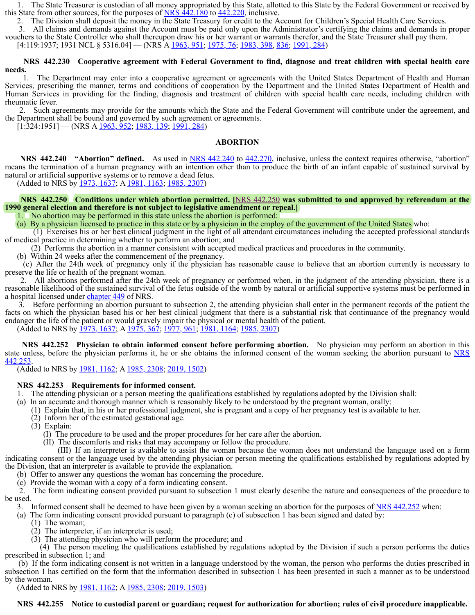1. The State Treasurer is custodian of all money appropriated by this State, allotted to this State by the Federal Government or received by this State from other sources, for the purposes of  $NRS$  442.180 to  $442.220$ , inclusive.

2. The Division shall deposit the money in the State Treasury for credit to the Account for Children's Special Health Care Services.

 3. All claims and demands against the Account must be paid only upon the Administrator's certifying the claims and demands in proper vouchers to the State Controller who shall thereupon draw his or her warrant or warrants therefor, and the State Treasurer shall pay them.

[4:119:1937; 1931 NCL § 5316.04] — (NRS A 1963, 951; 1975, 76; 1983, 398, 836; 1991, 284)

## **NRS 442.230 Cooperative agreement with Federal Government to find, diagnose and treat children with special health care needs.**

 1. The Department may enter into a cooperative agreement or agreements with the United States Department of Health and Human Services, prescribing the manner, terms and conditions of cooperation by the Department and the United States Department of Health and Human Services in providing for the finding, diagnosis and treatment of children with special health care needs, including children with rheumatic fever.

 2. Such agreements may provide for the amounts which the State and the Federal Government will [contribute under](https://www.leg.state.nv.us/NRS/NRS-454.html#NRS454Sec201) the agreement, and the Department shall be boun[d and governed](https://www.leg.state.nv.us/Statutes/74th/Stats200719.html#Stats200719page2367) by such agreement or agreements.

 $[1.324.1951]$  — (NRS A  $\frac{1963}{952}$ ,  $\frac{1983}{139}$ ,  $\frac{1991}{284}$ )

#### **ABORTION**

**NRS** 442.240  **"Abortion" defined.** As used in NRS 442.240 to 442.270, inclusive, unless the context requires otherwise, "abortion" means the termination of a human pregnancy with an intention other than to produce the birth of an infant capable of sustained survival by natural or artificial supportive systems or to remove a dead fetus.

(Added to NRS by 1973, 1637; A 1981, 1163; 1985, 2307)

#### **NRS 442.250 Conditions under which abortion permitted. [**NRS 442.250 **was submitted to and approved by referendum at the 1990 general election and th[erefore is not](https://www.leg.state.nv.us/Statutes/74th/Stats200719.html#Stats200719page2368) subject to legislative amendment or repeal.]**

1. No abortion may be performed in this state unless the abortion is performed:

(a) By a physician licensed to practice in this state or by a physician in the employ of the government of the United States who:

 (1) Exercises his or her best clinical judgment in the light of all attendant circumstances including the accepted professional standards of medical practice in determining whether to perform an abortion; and

(2) Performs the abortion in a manner consi[stent with accepted](https://www.leg.state.nv.us/NRS/NRS-442.html#NRS442Sec600) me[dical practic](https://www.leg.state.nv.us/NRS/NRS-442.html#NRS442Sec660)es and procedures in the community.

(b) Within 24 weeks after the commencement of the pregnancy.

 (c) After the 24th week of pregnancy only if the physician has reasonable cause to believe that an abortion currently is necessary to preserve the life or health of the pregnant woman.

 2. All abortions performed after the 24th week of pregnancy or [performed when, in](https://www.leg.state.nv.us/NRS/NRS-442.html#NRS442Sec600) th[e judgment](https://www.leg.state.nv.us/NRS/NRS-442.html#NRS442Sec660) of the attending physician, there is a reasonable likelihood of the sustained survival of the fetus outside of the womb by natural or artificial supportive systems must be performed in a hospital licensed under chapter 449 of NRS.

 3. Before performing an abortion pursuant to subsection 2, the attending physician shall enter in the permanent records of the patient the facts on which the physician based his or her best clinical judgment that there is a [substantial risk th](https://www.leg.state.nv.us/NRS/NRS-442.html#NRS442Sec640)at continuance of the pregnancy would endanger the life of the patient or would gravely impair the physical or mental health of the patient.

(Added to NRS by 1973, 1637, A 1975, 367, 1977, 961, 1981, 1164, 1985, 2307)

 **NRS 442.252 Physician to obtain informed consent before performing abortion.** No physician may perform an abortion in this state unless, before the physician performs it, he or she obtains the informed consent of the woman seeking the abortion pursuant to NRS 442.253.

(Added to NRS by 1981, 1162; A 1985, 2308; 2019, 1502)

#### **NRS 442.253 Requirements for informed consent.**

1. The attending physici[an or a person](https://www.leg.state.nv.us/Statutes/74th/Stats200719.html#Stats200719page2368) meeting the qualifications established by regulations adopted by the Division shall:

(a) In an accurate and thorough manner which is reasonably likely to be understood by the pregnant woman, orally:

(1) Explain that, in his or her professional judgment, she is pregnant and a copy of her pregnancy test is available to her.

(2) Inform her of the estimated gestational age.

(3) Explain:

- (I) The procedure to be used and the proper procedures for her care after the abortion.
- (II) The discomforts and risks that may accompany or follow the procedure.

 (III) If an interpreter is available to assist the woman because the woman does not understand the language used on a form indicating consent or the language used by the attending physician or person meeting the qualifications established by regulations adopted by the Division, that an interpreter is available to provide the explanation.

(b) Offer to answer any questions the woman has concerning the procedure.

(c) Provide the woman with a copy of a form indicating consent.

 2. The form indicating consent provided pursuant to subsection 1 must clearly describe the nature and consequences of the procedure to be used.

3. Informed consent shall be deemed to have been given by a woman seeking an abortion for the purposes of NRS 442.252 when:

(a) The form indicating consent provided pursuant to paragraph (c) of subsection 1 has been signed and dated by:

- (1) The woman;
- (2) The interpreter, if an interpreter is used;
- (3) The attending physician who will perform the procedure; and

 (4) The person meeting the qualifications established by regulations adopted by the Division if such a person performs the duties prescribed in subsection 1; and

 (b) If the form indicating consent is not written in a language understood by the woman, the person who performs the duties prescribed in subsection 1 has certified on the form that the information described in subsection 1 has been presented in such a manner as to be understood by the woman.

(Added to NRS by 1981, 1162; A 1985, 2308; 2019, 1503)

 **NRS 442.255 Notice to custodial parent or guardian; request for authorization for abortion; rules of civil procedure inapplicable.**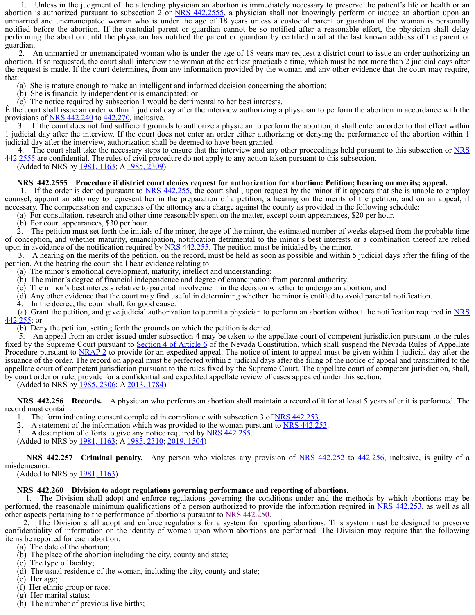1. Unless in the judgment of the attending physician an abortion is immediately necessary to preserve the patient's life or health or an abortion is authorized pursuant to subsection  $2$  or NRS 442.2555, a physician shall not knowingly perform or induce an abortion upon an unmarried and unemancipated woman who is under the age of 18 years unless a custodial parent or guardian of the woman is personally notified before the abortion. [If the custodi](https://www.leg.state.nv.us/Statutes/77th2013/Stats201313.html#Stats201313page2115)al parent or guardian cannot be so notified after a reasonable effort, the physician shall delay performing the abortion until the physician has notified the parent or guardian by certified mail at the last known address of the parent or guardian.

 2. An unmarried or unemancipated woman who is under the age of 18 years may request a district court to issue an order authorizing an abortion. If so requested, the court shall interview the woman at the earliest practicable time, which must be not more than 2 judicial days after the request is made. If the court determines, from any information provided by the woman and any other evidence that the court may require, that:

(a) She is mature enough to make an intelligent and informed decision concerning the abortion;

(b) She is financially independent or is emancipated; or

(c) The notice required by subsection 1 would be detrimental to her best interests,

Ê the court shall issue an order within 1 judicial day after the interview authorizing a physician to perform the abortion in accordance with the provisions of NRS 442.240 to 442.270, inclusive.

 3. If the court does not find sufficient grounds to authorize a physician to perform the abortion, it shall enter an order to that effect within 1 judicial day after the interview. If the court does not enter an order either authorizing or denying the performance of the abortion within 1 judicial day after the interview, authorization shall be deemed to have been granted.

4. The court shall take the necessary steps to ensure that the interview and any other proceedings held pursuant to this subsection or NRS 442.2555 are confidential. The rules of civil procedure do not apply to any action taken pursuant to this subsection.

(Added to NRS by <u>1981, 1163</u>; A 1985, 2309)

#### **NRS 442.2555 Procedure if district court denies request for authorization for abortion: Petition; hearing on merits; appeal.**

 1. If the order is denied pursuant to NRS 442.255, the court shall, upon request by the minor if it appears that she is unable to employ counsel, appoint an attorney to represent her in the preparation of a petition, a hearing on the merits of the petition, and on an appeal, if necessary. The compensation and expenses of the attorney are a charge against the county as provided in the following schedule:

(a) For consultation, research and other time reasonably spent on the matter, except court appearances, \$20 per hour.

(b) For court appearances, \$30 per hour.

 2. The petition must set forth the initials of the minor, the age of the minor, the estimated number of weeks elapsed from the probable time of conception, and whether maturity, emancipation, notification detrimental to the minor's best interests or a combination thereof are relied upon in avoidance of the notification required by  $NRS$  442.255. The petition must be initialed by the minor.

 3. A hearing on the merits of the petition, on the record, must be held as soon as possible and within 5 judicial days after the filing of the petition. At the hearing the court shall hear evidence relating to:

(a) The minor's emotional development, maturity, intellect and understanding;

- (b) The minor's degree of financial independence and degree of emancipation from parental authority;
- (c) The minor's best interests relative to parental involvement in the decision whether to undergo an abortion; and
- (d) Any other evidence that the court may find useful in determining whether the minor is entitled to avoid parental notification.
- In the decree, the court shall, for good cause:

 (a) Grant the petition, and give judicial authorization to permit a physician to perform an abortion without the notification required in NRS  $442.255$ ; or

(b) Deny the petition, setting forth the grounds on which the petition is denied.

 5. An appeal from an order issued under subsection 4 may be taken to [the appellate court](https://www.leg.state.nv.us/NRS/NRS-441A.html#NRS441ASec050) of competent jurisdiction pursuant to the rules fixed by the Supreme Court pursuant to Section 4 of Article 6 of the Nevad[a Constitution, whic](https://www.leg.state.nv.us/NRS/NRS-449.html#NRS449Sec0151)h shall suspend the Nevada Rules of Appellate Procedure pursuant to **NRAP 2** to provide for an expedited appeal. The notice of intent to appeal must be given within 1 judicial day after the issuance of the order. The rec[ord on appeal](https://www.leg.state.nv.us/Statutes/75th2009/Stats200905.html#Stats200905page457) mu[st be perfected](https://www.leg.state.nv.us/Statutes/80th2019/Stats201918.html#Stats201918page3041) within 5 judicial days after the filing of the notice of appeal and transmitted to the appellate court of competent jurisdiction pursuant to the rules fixed by the Supreme Court. The appellate court of competent jurisdiction, shall, by court order or rule, provide for a confidential and expedited appellate review of cases appealed under this section.

(Added to NRS by 1985, 2306; A 2013, 1784)

 **NRS 442.256 Records.** A physician who performs an [abortion shall mai](https://www.leg.state.nv.us/NRS/NRS-442.html#NRS442Sec710)ntai[n a record o](https://www.leg.state.nv.us/NRS/NRS-442.html#NRS442Sec745)f it for at least 5 years after it is performed. The record must contain:

- 1. The form indicating consent completed in co[mpliance with subs](https://www.leg.state.nv.us/NRS/NRS-442.html#NRS442Sec715)ection 3 of <u>NRS 442.253</u>.<br>2. A statement of the information which was provided to the woman pursuant to NRS 442.253.
- 
- 3. A description of effor[ts to give any](https://www.leg.state.nv.us/Statutes/79th2017/Stats201705.html#Stats201705page739) notice required by NRS 442.255

(Added to NRS by 1981, 1163, A 1985, 2310, 2019, 1504)

**NRS** 442.257 Criminal penalty. [Any person who violates any provision of NRS 442.252 to 442.256, inclusive, is guilty of a](https://www.leg.state.nv.us/NRS/NRS-442.html#NRS442Sec725) misdemeanor.

(Added to NRS by 1981, [1163\)](https://www.leg.state.nv.us/Statutes/79th2017/Stats201705.html#Stats201705page739)

#### **NRS 442.260 Division to adopt regulations governing performance and reporting of abortions.**

 1. The Division shall adopt and enforce regulations governing the conditions under and the methods by which abortions may be performed, the reasonable minimum qualifications of a person authorized to provide the information required in NRS 442.253, as well as all other aspects pertaining to th[e performance](https://www.leg.state.nv.us/Statutes/79th2017/Stats201705.html#Stats201705page739) of [abortions pursu](https://www.leg.state.nv.us/Statutes/80th2019/Stats201909.html#Stats201909page1505)ant to NRS 442.250.

 2. The Division shall adopt and enforce regulations for a system for reporting abortions. This system must be designed to preserve confidentiality of information on the identity of women upon whom abortions are performed. The Division may require that the following items be reported for each abortion:

- (a) The date of the abortion;
- (b) The place of the abortion including the city, county and state;
- (c) The type of facility;
- (d) The usual residence of the woman, including the city, county and state;
- (e) Her age;
- (f) Her ethnic group or race;
- (g) Her marital status;
- (h) The number of previous live births;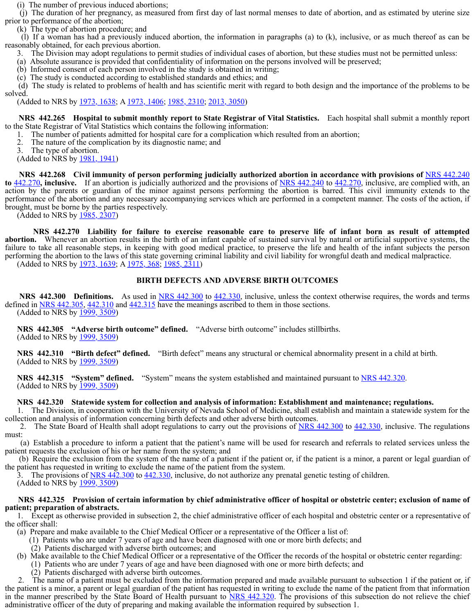(i) The number of previous induced abortions;

 (j) The duration of her pregnancy, as measured from first day of last normal menses to date of abortion, and as estimated by uterine size prior to performance of the abortion;

(k) The type of abortion procedure; and

 (l) If a woman has had a previously induced abortion, the information in paragraphs (a) to (k), inclusive, or as much thereof as can be reasonably obtained, for each previous abortion.

3. The Division may adopt regulations to permit studies of individual cases of abortion, but these studies must not be permitted unless:

(a) Absolute assurance is provided that confidentiality of information on the persons involved will be preserved;

(b) Informed consent of each person involved in the study is obtained in writing;

(c) The study is conducted according to established standards and ethics; and

 (d) The study is related to problems of health and has scientific merit with regard to both design and the importance of the problems to be solved.

(Added to NRS by 1973, 1638; A 1973, 1406; 1985, 2310; 2013, 3050)

 **NRS 442.265 Hospital to submit monthly report to State Registrar of Vital Statistics.** Each hospital shall submit a monthly report to the State Registrar of Vital Statistics which contains the following information:

1. The number of patients admitted for hospital care for a complication which resulted from an abortion;

2. The nature of the complication by its diagnostic name; and

3. The type of abortion.

(Added to NRS by 1981, 1941)

**NRS** 442.268 Civil immunity of person performing judicially authorized abortion in accordance with provisions of **NRS** 442.240 **to** 442.270, inclusive. If an abortion is judicially authorized and the provisions of NRS 442.240 to 442.270, inclusive, are complied with, an action by the parents or guardian of the minor against persons performing the abortion is barred. This civil immunity extends to the performance of the abortion and any necessary accompanying services which are performed in a competent manner. The costs of the action, if brought, must be borne by the parties respectively.

(Added to NRS by 1985, 2307)

 **NRS 442.270 Liability for failure to exercise reasonable care to preserve life of infant born as result of attempted abortion.** Whenever an abortion results in the birth of an infant capable of sustained survival by natural or artificial supportive systems, the failure to take all reasonable steps, in keeping with good medical practice, to preserve the life and health of the infant subjects the person performing the abortion to the laws of this state governing criminal liability and civil liability for wrongful death and medical malpractice.

(Added to NRS by 1973, 1639; A 1975, 368; 1985, 2311)

## **BIRTH DEFECTS AND ADVERSE BIRTH OUTCOMES**

**NRS** 442.300 **Definitions.** As used in NRS 442.300 to 442.330, inclusive, unless the context otherwise requires, the words and terms defined in NRS 442.305, 442.310 and 442.315 have the meanings ascribed to them in those sections. (Added to NRS by 1999, 3509)

 **NRS 442.305 "Adverse birth outcome" defined.** "Adverse birth outcome" includes stillbirths.

(Added to NRS by 1999, 3509)

**NRS** 442.310  **"Birth defect" defined.** "Birth defect" means any structural or chemical abnormality present in a child at birth. (Added to NRS by 1999, 3509)

 **NRS 442.315 "System" defined.** "System" means the system established and maintained pursuant to NRS 442.320. (Added to NRS by 1999, 3509)

# **NRS 442.320 Statewide system for collection and analysis of information: Establishment and maintenance; regulations.**

 1. The Division, in cooperation with the University of Nevada School of Medicine, shall establish and maintain a statewide system for the collection and analysis of information concerning birth defects and other adverse birth outcomes.

2. The State Board of Health shall adopt regulations to carry out the provisions of NRS 442.300 to 442.330, inclusive. The regulations must:

 (a) Establish a procedure to inform a patient that the patient's name will be used for research and referrals to related services unless the patient requests the exclusion of his or her name from the system; and

 (b) Require the exclusion from the system of the name of a patient if the patient or, if the patient is a minor, a parent or legal guardian of the patient has requested in writing to exclude the name of the patient from the system.

The provisions of NRS 442.300 to 442.330, inclusive, do not authorize any prenatal genetic testing of children. (Added to NRS by 1999, 3509)

#### **NRS 442.325 Provision of certain informat[ion by chief admin](https://www.leg.state.nv.us/NRS/NRS-432B.html#NRS432BSec220)istrative officer of hospital or obstetric center; exclusion of name of patient; preparation of abstracts.**

 1. Except as otherwise provided in subsection 2, the chief administrative officer of each hospital and obstetric center or a representative of the officer shall:

(a) Prepare and make available to the Chief Medical Officer or a representative of the Officer a list of:

(1) Patients who are under 7 years of age and have been diagnosed with one or more birth defects; and

(2) Patients discharged with adverse birth outcomes; and

(b) Make available to the Chief Medical Officer or a representative of the Officer the records of the hospital or obstetric center regarding:

(1) Patients who are under 7 years of age and have been diagnosed with one or more birth defects; and

(2) Patients discharged with adverse birth outcomes.

The name of a patient must be excluded from the information prepared and made available pursuant to subsection 1 if the patient or, if the patient is a minor, a parent or legal guardian of the patient has requested in writing to exclude the name of the patient from that information in the manner prescribed by the State Board of Health pursuant to NRS 442.320. The provisions of this subsection do not relieve the chief administrative officer of the duty of preparing and making available the information required by subsection 1.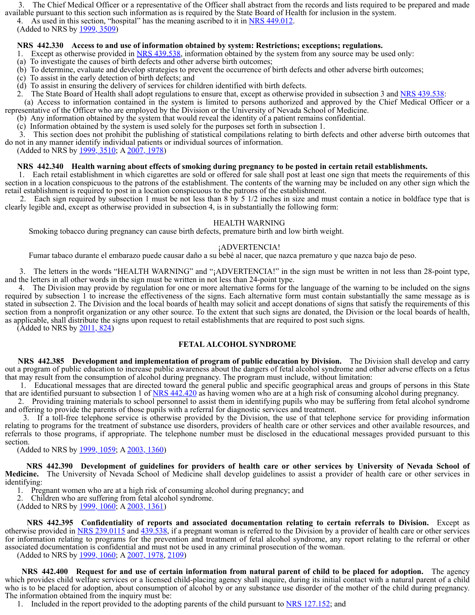3. The Chief Medical Officer or a representative of the Officer shall abstract from the records and lists required to be prepared and made available pursuant to this section such information as is required by the State Board of Health for inclusion in the system.

4. As used in this section, "hospital" has the meaning ascribed to it in NRS 449.012.<br>(Added to NRS by 1999, 3509)

# **NRS 442.330 Access to and use of information obtained by system: Restrictions; exceptions; regulations.**

- 1. Except as otherwise provided in NRS 439.538, information obtained by the system from any source may be used only:
- (a) To investigate the causes of birth defects and other adverse birth outcomes;
- (b) To determine, evaluat[e and develop](https://www.leg.state.nv.us/Statutes/79th2017/Stats201705.html#Stats201705page739) str[ategies to preve](https://www.leg.state.nv.us/Statutes/80th2019/Stats201909.html#Stats201909page1505)nt the occurrence of birth defects and other adverse birth outcomes;
- (c) To assist in the early detection of birth defects; and
- (d) To assist in ensuring the delivery of services for children identified with birth defects.
- 2. The State Board of Health shall adopt regulations to ensure that, except as otherwise provided in subsection 3 and NRS 439.538:

 (a) Access to information contained in the system is limited to persons authorized and approved by the Chief Medical Officer or a representative of the Officer who are employed by the Division or the University of Nevada School of Medicine.

- (b) Any information obtained by the system that would reveal the identity of a p[atient remains conf](https://www.leg.state.nv.us/NRS/NRS-442.html#NRS442Sec725)idential.
- (c) Information obtained by the system is used solely for the purposes set forth in subsection 1.

 3. This section does not prohibit the publishing of statistical compilations relating to birth defects and other adverse birth outcomes that do not in any manner identify individual patients or individual sources of information.

(Added to NRS by 1999, 3510; A 2007, 1978)

# **NRS 442.340 Health warning about effects of smoking during pregnancy to be posted in certain retail establishments.**

 1. Each retail establishment in which cigarettes are sold or offered for sale shall post at least one sign that meets the requirements of this section in a location conspicuous to the patrons of the establishment. The contents of the warning may be included on any other sign which the retail establishment is require[d to post in a](https://www.leg.state.nv.us/Statutes/79th2017/Stats201705.html#Stats201705page741) loca[tion conspicuou](https://www.leg.state.nv.us/Statutes/80th2019/Stats201909.html#Stats201909page1508)s to the patrons of the establishment.

 2. Each sign required by subsection 1 must be not less than 8 by 5 1/2 inches in size and must contain a notice in boldface type that is clearly legible and, except as otherwise provided in subsection 4, is in substantially the following form:

## HEALTH WARNING

Smoking tobacco during pregnancy can cause birth defects, premature birth and low birth weight.

# ¡ADVERTENCIA!

Fumar tabaco durante el embarazo puede causar daño a su bebé al nacer, que nazca prematuro y que nazca bajo de peso.

 3. The letters in the words "HEALTH WARNING" and "¡ADVERTENCIA!" in the sign must be written in not less than 28-point type, and the letters in all other words in the sign must be written in not less than 24-point type.

 4. The Division may provide by regulation for one or more alternative forms for the language of the warning to be included on the signs required by subsection 1 to increase the effectiveness of the signs. Each alternative form must contain substantially the same message as is stated in subsection 2. The Division and the local boards of health may solicit and accept donations of signs that satisfy the requirements of this section from a nonprofit organization or any other source. To the extent that such signs are donated, the Division or the local boards of health, as applicable, shall distribute the signs upon request to retail establishments that are required to post such signs.

(Added to NRS by 2011, 824)

# **FETAL ALCOHOL SYNDROME**

 **NRS 442.385 Development and implementation of program of public education by Division.** The Division shall develop and carry out a program of public education to increase public awareness about the dangers of fetal alcohol syndrome and other adverse effects on a fetus that [may result from t](https://www.leg.state.nv.us/NRS/NRS-442.html#NRS442Sec725)he consumption of alcohol during pregnancy. The program must include, without limitation:

 1. Educational messages that are directed toward the general public and specific geographical areas and groups of persons in this State that are identified pursuant to subsection 1 of NRS 442.420 as having women who are at a high risk of consuming alcohol during pregnancy.

 2. Providing training materials to school personnel to assist them in identifying pupils who may be suffering from fetal alcohol syndrome and offering to provide the parents of those pupils with a referral for diagnostic services and treatment.

 3. If a toll-free teleph[one service i](https://www.leg.state.nv.us/Statutes/79th2017/Stats201705.html#Stats201705page741)s otherwise provided by the Division, the use of that telephone service for providing information relating to programs for the treatment of substance use disorders, providers of health care or other services and other available resources, and referrals to those programs, if appropriate. The telephone number must be disclosed in the educational messages provided pursuant to this section.

(Added to NRS by 1999, 1059; A 2003, 1360)

 **NRS 442.390 Development of guidelines for providers of health care or other services by University of Nevada School of Medicine.** [The Uni](https://www.leg.state.nv.us/NRS/NRS-442.html#NRS442Sec725)versity of Nevada School of Medicine shall develop guidelines to assist a provider of health care or other services in identifying:

1. Pregnant women who are at a high risk of consuming alcohol during pre[gnancy; and](https://www.leg.state.nv.us/NRS/NRS-442.html#NRS442Sec725)

2. Children who are suffering from fetal alcohol syndrome.

(Added to NRS by 1999, 1060; A 2003, 1361)

 **NRS 442.395 Confidentiality of reports and associated documentation relating to certain referrals to Division.** Except as otherwise provided in NRS 239.0115 and 439.538, if a pr[egnant woman is r](https://www.leg.state.nv.us/NRS/NRS-442.html#NRS442Sec725)eferred to the Division by a provider of health care or other services for information relating to p[rograms for th](https://www.leg.state.nv.us/Statutes/79th2017/Stats201705.html#Stats201705page741)e p[revention and](https://www.leg.state.nv.us/Statutes/80th2019/Stats201909.html#Stats201909page1508) treatment of fetal alcohol syndrome, any report relating to the referral or other associated documentation is confidential and must not be used in any criminal prosecution of the woman.

(Added to NRS by 1999, 1060; A 2007, 1978, 2109)

 **NRS 442.400 Request for and use of certain information from natural parent of child to be placed for adoption.** The agency which provides child welfare services or a licensed child-placing agency shall inquire, during its in[itial contact with a](https://www.leg.state.nv.us/NRS/NRS-442.html#NRS442Sec751) nat[ural parent](https://www.leg.state.nv.us/NRS/NRS-442.html#NRS442Sec774) of a child who is to be placed for adoption, about consumption of alcohol by or any substance use dis[order of the moth](https://www.leg.state.nv.us/NRS/NRS-442.html#NRS442Sec754)e[r of the chil](https://www.leg.state.nv.us/NRS/NRS-442.html#NRS442Sec757)d duri[ng pregnan](https://www.leg.state.nv.us/NRS/NRS-442.html#NRS442Sec761)cy. The information obtained from the inquiry must be:

1. Included in the report [provided to](https://www.leg.state.nv.us/Statutes/80th2019/Stats201901.html#Stats201901page41) the adopting parents of the child pursuant to NRS 127.152; and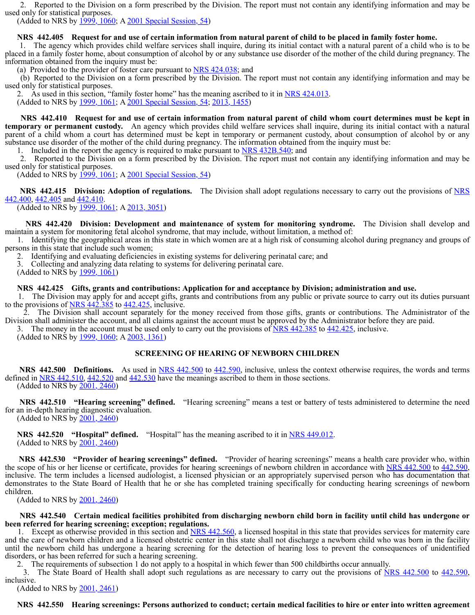2. Reported to the Division on a form prescribed by the Division. The report must not contain any identifying information and may be used only for statistical purposes.

(Added to NRS by <u>1999, 1060</u>; A 2001 Special Session, 54)

## **NRS 442.405 Request [for and use](https://www.leg.state.nv.us/Statutes/80th2019/Stats201901.html#Stats201901page41) of certain info[rmation from nat](https://www.leg.state.nv.us/NRS/NRS-442.html#NRS442Sec764)ural parent of child to be placed in family foster home.**

 1. The agency which provides child welfare services shall inquire, during its initial contact with a natural parent of a child who is to be placed in a family foster home, about consumption of alcohol by or any substance use disorder of the mother of the child during pregnancy. The information obtained from the inquiry must be:

(a) Provided to the provider of foster care pursuant to  $NRS$  424.038; and

 (b) Reported to the Divi[sion on a fo](https://www.leg.state.nv.us/Statutes/80th2019/Stats201901.html#Stats201901page41)rm prescribed by the Division. The report must not contain any identifying information and may be used only for statistical purposes.

2. As used in this section, "family foster home" has the meaning ascribed to it in NRS  $424.013$ .<br>(Added to NRS by 1999, 1061; A 2001 Special Session, 54; 2013, 1455)

 **NRS 442.410 Request for and use of certain information from natural parent of child whom court determines must be kept in temporary or permanent custody.** An agency which provides child welfare services shall inquire, during its initial contact with a natural parent of a child whom a co[urt has dete](https://www.leg.state.nv.us/Statutes/80th2019/Stats201901.html#Stats201901page41)rmined must be kept in temporary or permanent custody, about consumption of alcohol by or any substance use disorder of the mother of the child during pregnancy. The information obtained from the inquiry must be:

1. Included in the report the agency is required to make pursuant to NRS 432B.540; and

 2. Reported to the Division on a form prescribed by the Division. The report must not contain any identifying information and may be used only for statistical purposes.

(Added to NRS by <u>1999, 1061</u>; A 2001 Special Session, 54)

**NRS** 442.415 Division: Adoption of regulations. The Division shall adopt regulations necessary to carry out the provisions of NRS 442.400, 442.405 and 442.410.

(Added to NRS by 1999, 1061; A 2013, 3051)

 **NRS 442.420 Division: Development and maintenance of system for monitoring syndrome.** The Division shall develop and maintain a system for monitoring fetal alcohol syndrome, that may include, without limitation, a method of:

 1. Identifying the geographical areas in this state in which women are at a high risk of consuming alcohol during pregnancy and groups of persons in this state that include such women;

2. Identifying and evaluating deficiencies in existing systems for delivering perinatal care; and

3. Collecting and analyzing data relating to systems for delivering perinatal care.

(Added to NRS by 1999, 1061)

#### **NRS 442.425 Gifts, grants and contributions: Application for and acceptance by Division; administration and use.**

 1. The Division may apply for and accept gifts, grants and contributions from any public or private source to carry out its duties pursuant to the provisions of  $NRS$  442.385 to 442.425, inclusive.

 2. The Division shall account separately for the money received from those gifts, grants or contributions. The Administrator of the Division shall administer the account, and all claims against the account must be approved by the Administrator before they are paid.

3. The money in the account must be used only to carry out the provisions of  $\overline{NRS}$  442.385 to 442.425, inclusive.

(Added to NRS by 1999, 1060; A 2003, 1361)

# **SCREENING OF HEARING OF NEWBORN CHILDREN**

**NRS** 442.500 **Definitions.** As used in NRS 442.500 to 442.590, inclusive, unless the context otherwise requires, the words and terms defined in NRS 442.510, 442.520 and 442.530 have the meanings ascribed to them in those sections. (Added to NRS by 2001, 2460)

**NRS** 442.510  **"Hearing screening" defined.** "Hearing screening" means a test or battery of tests administered to determine the need for an in-depth hearing diagnostic evaluation.

(Added to NRS by 2001, 2460)

**NRS** 442.520  **"Hospital" defined.** "Hospital" has the meaning ascribed to it in NRS 449.012. (Added to NRS by 2001, 2460)

 **NRS 442.530 "Provider of hearing screenings" defined.** "Provider of hearing screenings" means a health care provider who, within the scope of his or her license or certificate, provides for hearing screenings of newborn children in accordance with NRS 442.500 to 442.590, inclusive. The term includes a licensed audiologist, a licensed physician or an appropriately supervised person who has documentation that demonstrates to the State Board of Health that he or she has completed training specifically for conducting hearing screenings of newborn children.

(Added to NR[S by 2001, 2460\)](https://www.leg.state.nv.us/NRS/NRS-442.html#NRS442Sec751)

 **NRS 442.540 Certain medical [facilities p](https://www.leg.state.nv.us/NRS/NRS-442.html#NRS442Sec774)rohibited from discharging newborn [child born in faci](https://www.leg.state.nv.us/NRS/NRS-442.html#NRS442Sec751)lity [until child](https://www.leg.state.nv.us/NRS/NRS-442.html#NRS442Sec774) has undergone or been referred for hearing sc[reening; ex](https://www.leg.state.nv.us/Statutes/80th2019/Stats201901.html#Stats201901page41)ception; regulations.**

1. Except as otherwise provided in this section and NRS 442.560, a licensed hospital in this state that provides services for maternity care and the care of newborn children and a licensed obstetric center in this state shall not discharge a newborn child who was born in the facility until the newborn child has undergone a hearing screening for the detection of hearing loss to prevent the consequences of unidentified disorders, or has been referred for such a hearing screening.

2. The requirements of subsection 1 do not apply to a hospital in which fewer than 500 childbirths occur annually.

3. The State Board of Health shall adopt such regulations as are necessary to carry out the provisions of NRS 442.500 to 442.590, inclusive.

(Added to NRS by 2001, 2461)

# **NRS 442.550 Hearing screenings: [Persons authorize](https://www.leg.state.nv.us/NRS/NRS-442.html#NRS442Sec774)d to conduct; certain medical facilities to hire or enter into written agreement**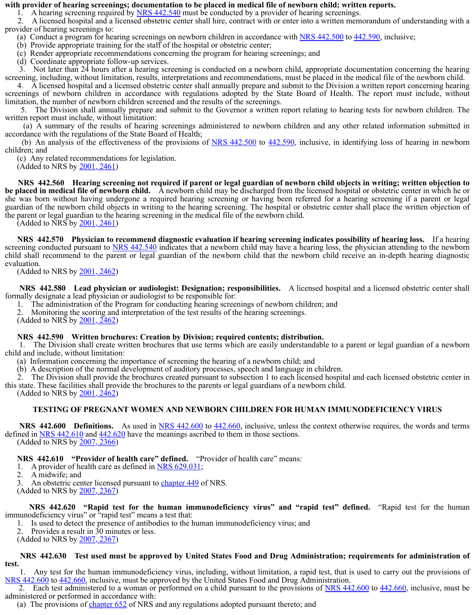#### **with provider of hearing screenings; documentation to be placed in medical file of newborn child; written reports.**

1. A hearing screening required by NRS 442.540 must be conducted by a provider of hearing screenings.

 2. A licensed hospital and a licensed obstetric center shall hire, contract with or enter into a written memorandum of understanding with a provider of hearing screenings to:

(a) Conduct a program for hearing screenings on newborn children in accordance with NRS 442.500 to 442.590, inclusive;

(b) Provide appropriate training for the staff of the hospital or obstetric center;

(c) Render appropriate recommendations concerning the program for hearing screenings; and

(d) Coordinate appropriate follow-up services.

 3. Not later than 24 hours after a hearing screening is conducted on a newborn child, appropriate documentation concerning the hearing screening, including, without limitation, results, interpretations and recommendations, must be placed in the medical file of the newborn child.

 4. A licensed hospital and a licensed obstetric center shall annually prepare and submit to the Division a written report concerning hearing screenings of newborn children in accordance with regulations adopted by the State Board of Health. The report must include, without limitation, the number of newborn children screened and the results of the screenings.

 5. The Division shall annually prepare and submit to the Governor a written report relating to hearing tests for newborn children. The written report must include, without limitation:

 (a) A summary of the results of hearing screenings administered to newborn children and any other related information submitted in accordance with the regulations of the State Board of Health;

(b) An analysis of the effectiveness of the provisions of  $NRS$  442.500 to 442.590, inclusive, in identifying loss of hearing in newborn children; and

(c) Any related recommendations for legislation.

 $(\text{Added to NRS by } 2001, 2461)$ 

 **NRS 442.560 Hearing screening not required if parent or legal guardian of newborn child objects in writing; written objection to be placed in medical file of newborn child.** A newborn child may be discharged from the licensed hospital or obstetric center in which he or she was born without having undergone a required hearing screening or having been referred for a hearing screening if a parent or legal guardian of the newborn child objects in writing to the hearing screening. The hospital or obstetric center shall place the written objection of the parent or legal guardian to the hearing screening in the medical file of the newborn child.

(Added to NRS by 2001, 2461)

 **NRS 442.570 Physician to recommend diagnostic evaluation if hearing screening indicates poss[ibility of hearing lo](https://www.leg.state.nv.us/NRS/NRS-449.html#NRS449Sec0151)ss.** If a hearing screening conducted pursuant [to NRS 44](https://www.leg.state.nv.us/Statutes/80th2019/Stats201901.html#Stats201901page42)2.540 indicates that a newborn child may have a hearing loss, the physician attending to the newborn child shall recommend to the parent or legal guardian of the newborn child that the newborn child receive an in-depth hearing diagnostic evaluation.

(Added to NRS by  $2001, 2462$ )

 **NRS 442.580 Lead physician or audiologist: Designation; responsibilities.** A licensed hospital and a licensed obstetric center shall formally designate a lead physician or audiologist to be responsible for:

1. The administration of the Program for conducting hearing screenings of newborn children; and

2. Monitoring the scoring and interpretation of the test results of the hearing screenings.

(Added to NRS by 2001, 2462)

#### **NRS 442.590 Written brochures: Creation by Division; required contents; distribution.**

 1. The Division shall c[reate written](https://www.leg.state.nv.us/Statutes/80th2019/Stats201901.html#Stats201901page43) brochures that use terms which are easily understandable to a parent or legal guardian of a newborn child and include, without limitation:

(a) Information concerning the importance of screening the hearing of a newborn child; and

(b) A description of the normal development of auditory processes, speech and language in children.

 2. The Division shall provide the brochures created pursuant to subsection 1 to each licensed hospital and each licensed obstetric center in this state. These facilities shall provide the brochures to the parents or legal guardians of a newborn child.

(Added to NRS by 2001, 2462)

#### **TESTING OF PREGNANT WOMEN AND NEWBORN CHILDREN FOR HUMAN IMMUNODEFICIENCY VIRUS**

**NRS** 442.600 **Definitions.** As used in NRS 442.600 to 442.660, inclusive, unless the context otherwise requires, the words and terms defined in NRS 442.610 and 442.620 have the meanings ascribed to them in those sections. (Added to NRS by 2007, 2366)

 **NRS 442.610 "Provider of health care" defined.** "Provider of health care" means:

1. A provider of health care as defined in **NRS 629.031**;

2. A midwife; and

3. An obstetric center licensed pursuant to chapter 449 of NRS.

(Added to NRS by 2007, 2367)

 **NRS 442.620 "Rapid test for the human immunodeficiency virus" and "rapid test" defined.** "Rapid test for the human immunodeficiency virus" or "rapid test" means a test that:

1. Is used to detect the presence of antib[odies to the human](https://www.leg.state.nv.us/NRS/NRS-217.html#NRS217Sec475) immunodeficiency virus; and

2. Provides a result in 30 minutes or less.

(Added to NRS by 2007, 2367)

#### **NRS 442.630 Test used must be approved by United States Food and Drug Administration; requirements for administration of test.**

 1. Any test for the human immunodeficiency virus, including, without limitation, a rapid test, that is used to carry out the provisions of NRS 442.600 to 442.660, incl[usive, must be appro](https://www.leg.state.nv.us/NRS/NRS-239.html#NRS239Sec0115)ved by the United States Food and Drug Administration.

2. Each test administered to a woman or performed on a child pursuant to the provisions of NRS 442.600 to 442.660, inclusive, must be administered or performed in accordance with:

(a) The provisions of chapter 652 of NRS and any regulations adopted pursuant thereto; and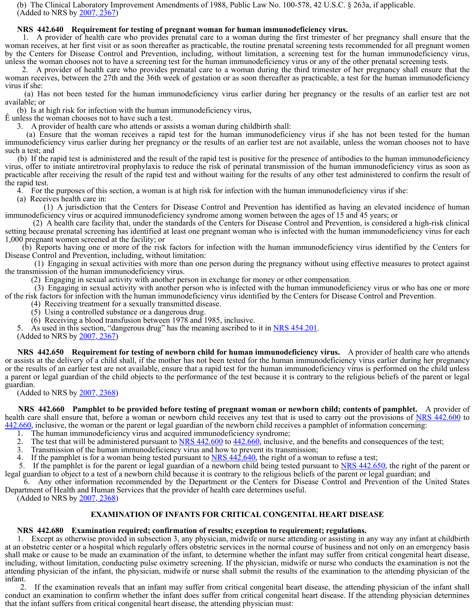(b) The Clinical Laboratory Improvement Amendments of 1988, Public Law No. 100-578, 42 U.S.C. § 263a, if applicable. (Added to NRS by 2007, 2367)

#### **NRS 442.640 Requirement for testing of pregnant woman for human immunodeficiency virus.**

 1. A provider of health care who provides prenatal care to a woman during the first trimester of her pregnancy shall ensure that the woman receives, at her first visit or as soon thereafter as practicable, the routine prenatal screening tests recommended for all pregnant women by the Centers for Disease [Control and](https://www.leg.state.nv.us/Statutes/80th2019/Stats201901.html#Stats201901page43) Prevention, including, without limitation, a screening test for the human immunodeficiency virus, unless the woman chooses not to have a screening test for the human immunodeficiency virus or any of the other prenatal screening tests.

 2. A provider of health care who provides prenatal care to a woman during the third trimester of her pregnancy shall ensure that the woman receives, between the 27th and the 36th week of gestation or as soon thereafter as practicable, a test for the human immunodeficiency virus if she:

 (a) Has not been tested for the human immunodeficiency virus earlier during her pregnancy or the results of an earlier test are not available; or

(b) Is at high risk for infection with the human immunodeficiency virus,

Ê unless the woman chooses not to have such a test.

3. A provider of health care who attends or assists a woman during childbirth shall:

 (a) Ensure that the woman receives a rapid test for the human immunodeficiency virus if she has not been tested for the human immunodeficiency virus earlier during her pregnancy or the results of an earlier test are not available, unless the woman chooses not to have such a test; and

 (b) If the rapid test is administered and the result of the rapid test is positive for the presence of antibodies to the human immunodeficiency virus, offer to initiate antiretroviral prophylaxis to reduce the risk of perinatal transmission of the human immunodeficiency virus as soon as practicable after receiving the result of the rapid test and without waiting for the results of any other test administered to confirm the result of the rapid test.

4. For the purposes of this section, a woman is at high risk for infection with the human immunodeficiency virus if she:

(a) Receives health care in:

 (1) A jurisdiction that the Centers for Disease Control and Prevention has identified as having an elevated incidence of human immunodeficiency virus or acquired immunodeficiency syndrome among women between the ages of 15 and 45 years; or

 (2) A health care facility that, under the standards of the Centers for Disease Control and Prevention, is considered a high-risk clinical setting because prenatal screening has identified at least one pregnant woman who is infected with the human immunodeficiency virus for each 1,000 pregnant women screened at the facility; or

 (b) Reports having one or more of the risk factors for infection with the human immunodeficiency virus identified by the Centers for Disease Control and Prevention, including, without limitation:

 (1) Engaging in sexual activities with more than one person during the pregnancy without using effective measures to protect against the transmission of the human immunodeficiency virus.

(2) Engaging in sexual activity with another person in exchange for money or other compensation.

 (3) Engaging in sexual activity with another person who is infected with the human immunodeficiency virus or who has one or more of the risk factors for infection with the human immunodeficiency virus identified by the Centers for Disease Control and Prevention.

(4) Receiving treatment for a sexually transmitted disease.

(5) Using a controlled substance or a dangerous drug.

(6) Receiving a blood transfusion between 1978 and 1985, inclusive.

5. As used in this section, "dangerous drug" has the meaning ascribed to it in  $NRS$  454.201.

(Added to NRS by 2007, 2367)

 **NRS 442.650 Requirement for testing of newborn child for human immunodeficiency virus.** A provider of health care who attends or assists at the delivery of a child shall, if the mother has not been tested for the human immunodeficiency virus earlier during her pregnancy or the results of an earlier test are not available, ensure that a rapid test for the human immunodeficiency virus is performed on the child unless a parent or legal guardian of the child objects to the performance of the test because it is contrary to the religious beliefs of the parent or legal guardian.

(Added to NRS by 2007, 2368)

 **NRS 442.660 Pamphlet to be provided before testing of pregnant woman or newborn child; contents of pamphlet.** A provider of health care shall ensure that, before a woman or newborn child receives any test that is used to carry out the provisions of NRS 442.600 to 442.660, inclusive, the woman or the parent or legal guardian of the newborn child receives a pamphlet of information concerning:

1. The human immunodeficiency virus and acquired immunodeficiency syndrome;

2. The test that will be administered pursuant to NRS 442.600 to 442.660, inclusive, and the benefits and consequences of the test;

3. Transmission of the human immunodeficiency virus and how to prevent its transmission;

If the pamphlet is for a woman being tested pursuant to  $NRS$  442.640, the right of a woman to refuse a test;

5. If the pamphlet is for the parent or legal guardian of a newborn child being tested pursuant to NRS 442.650, the right of the parent or legal guardian to object to a test of a newborn child because it is contrary to the religious beliefs of the parent or legal guardian; and

 6. Any other information recommended by the Department or the Centers for Disease Control and Prevention of the United States Department of Health and Human Services that the provider of health care determines useful.

(Added to NRS by 2007, 2368)

#### **EXAMINATION OF INFANTS FOR CRITICAL CONGENITAL HEART DISEASE**

# **NRS 442.680 Examination required; confirmation of results; exception to requirement; regulations.**

 1. Except as otherwise provided in subsection 3, any physician, midwife or nurse attending or assisting in any way any infant at childbirth at an obstetric center or a hospital which regularly offers obstetric services in the normal course of business and not only on an emergency basis shall make or cause to be made an examination of the infant, to determine whether the infant may suffer from critical congenital heart disease, including, without limitation, conducting pulse oximetry screening. If the physician, midwife or nurse who conducts the examination is not the attending physician of the infant, the physician, midwife or nurse shall submit the results of the examination to the attending physician of the infant.

 2. If the examination reveals that an infant may suffer from critical congenital heart disease, the attending physician of the infant shall conduct an examination to confirm whether the infant does suffer from critical congenital heart disease. If the attending physician determines that the infant suffers from critical congenital heart disease, the attending physician must: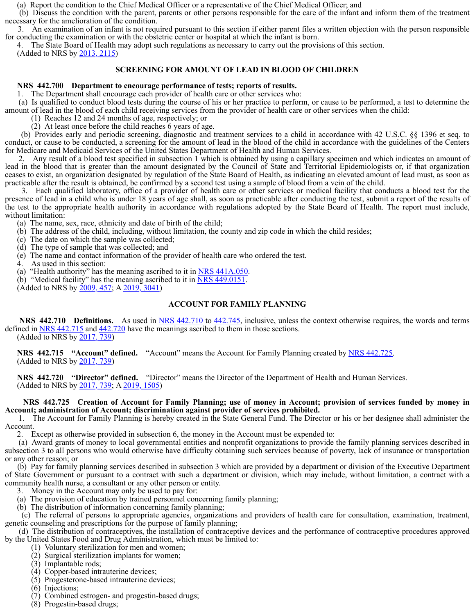(a) Report the condition to the Chief Medical Officer or a representative of the Chief Medical Officer; and

 (b) Discuss the condition with the parent, parents or other persons responsible for the care of the infant and inform them of the treatment necessary for the amelioration of the condition.

 3. An examination of an infant is not required pursuant to this section if either parent files a written objection with the person responsible for conducting the examination or with the obstetric center or hospital at which the infant is born.

4. The State Board of Health may adopt such regulations as necessary to carry out the provisions of this section.

(Added to NRS by 2013, 2115)

# **SCREENING FOR AMOUNT OF LEAD IN BLOOD OF CHILDREN**

#### **NRS 442.700 Department to encourage performance of tests; reports of results.**

1. The Department shall encourage each provider of health care or other services who:

 (a) Is qualified to conduct blood tests during the course of his or her practice to perform, or cause to be performed, a test to determine the amount of lead in the blood of each child receiving services from the provider of health care or other services when the child:

(1) Reaches 12 and 24 months of age, respectively; or

(2) At least once before the child reaches 6 years of age.

 (b) Provides early and periodic screening, diagnostic and treatment services to a child in accordance with 42 U.S.C. §§ 1396 et seq. to conduct, or cause to be conducted, a screening for the amount of lead in the blood of the child in accordance with the guidelines of the Centers for Medicare and Medicaid Services of the United States Department of Health and Human Services.

 2. Any result of a blood test specified in subsection 1 which is obtained by using a capillary specimen and which indicates an amount of lead in the blood that is greater than the amount designated by the Council of State and Territorial Epidemiologists or, if that organization ceases to exist, an organization designated by regulation of the State Board of Health, as indicating an elevated amount of lead must, as soon as practicable after the result is obtained, be confirmed by a second test using a sample of blood from a vein of the child.

 3. Each qualified laboratory, office of a provider of health care or other services or medical facility that conducts a blood test for the presence of lead in a child who is under 18 years of age shall, as soon as practicable after conducting the test, submit a report of the results of the test to the appropriate health authority in accordance with regulations adopted by the State Board of Health. The report must include, without limitation:

(a) The name, sex, race, ethnicity and date of birth of the child;

(b) The address of the child, including, without limitation, the county and zip code in which the child resides;

(c) The date on which the sample was collected;

(d) The type of sample that was collected; and

(e) The name and contact information of the provider of health care who ordered the test.

4. As used in this section:

(a) "Health authority" has the meaning ascribed to it in  $NRS$  441A.050.

(b) "Medical facility" has the meaning ascribed to it in <u>NRS 449.0151</u>. (Added to NRS by  $\frac{2009}{457}$ ; A  $\frac{2019}{3041}$ )

## **ACCOUNT FOR FAMILY PLANNING**

**NRS** 442.710 **Definitions.** As used in NRS 442.710 to 442.745, inclusive, unless the context otherwise requires, the words and terms defined in NRS 442.715 and 442.720 have the meanings ascribed to them in those sections. (Added to NRS by 2017, 739)

 **NRS 442.715 "Account" defined.** "Account" means the Account for Family Planning created by NRS 442.725. (Added to NRS by 2017, 739)

 **NRS 442.720 "Director" defined.** "Director" means the Director of the Department of Health and Human Services. (Added to NRS by 2017, 739; A 2019, 1505)

## **NRS 442.725 Creation of Account for Family Planning; use of money in Account; provision of services funded by money in Account; administration of Account; discrimination against provider of services prohibited.**

 1. The Account for Family Planning is hereby created in the State General Fund. The Director or his or her designee shall administer the Account.

2. Except as otherwise provided in subsection 6, the money in the Account must be expended to:

 (a) Award grants of money to local governmental entities and nonprofit organizations to provide the family planning services described in subsection 3 to all persons who would otherwise have difficulty obtaining such services because of poverty, lack of insurance or transportation or any other reason; or

 (b) Pay for family planning services described in subsection 3 which are provided by a department or division of the Executive Department of State Government or pursuant to a contract with such a department or division, which may include, without limitation, a contract with a community health nurse, a consultant or any other person or entity.

3. Money in the Account may only be used to pay for:

(a) The provision of education by trained personnel concerning family planning;

(b) The distribution of information concerning family planning;

 (c) The referral of persons to appropriate agencies, organizations and providers of health care for consultation, examination, treatment, genetic counseling and prescriptions for the purpose of family planning;

 (d) The distribution of contraceptives, the installation of contraceptive devices and the performance of contraceptive procedures approved by the United States Food and Drug Administration, which must be limited to:

(1) Voluntary sterilization for men and women;

(2) Surgical sterilization implants for women;

(3) Implantable rods;

(4) Copper-based intrauterine devices;

(5) Progesterone-based intrauterine devices;

(6) Injections;

(7) Combined estrogen- and progestin-based drugs;

(8) Progestin-based drugs;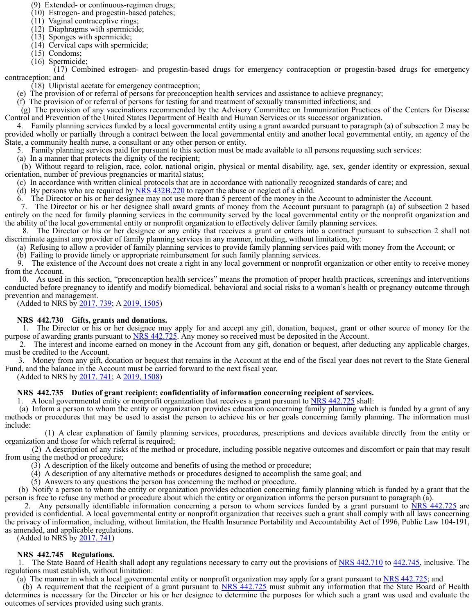(9) Extended- or continuous-regimen drugs;

- (10) Estrogen- and progestin-based patches;
- (11) Vaginal contraceptive rings; (12) Diaphragms with spermicide;
- (13) Sponges with spermicide;
- (14) Cervical caps with spermicide;
- (15) Condoms;
- (16) Spermicide;

 (17) Combined estrogen- and progestin-based drugs for emergency contraception or progestin-based drugs for emergency contraception; and

(18) Ulipristal acetate for emergency contraception;

(e) The provision of or referral of persons for preconception health services and assistance to achieve pregnancy;

(f) The provision of or referral of persons for testing for and treatment of sexually transmitted infections; and

 (g) The provision of any vaccinations recommended by the Advisory Committee on Immunization Practices of the Centers for Disease Control and Prevention of the United States Department of Health and Human Services or its successor organization.

 4. Family planning services funded by a local governmental entity using a grant awarded pursuant to paragraph (a) of subsection 2 may be provided wholly or partially through a contract between the local governmental entity and another local governmental entity, an agency of the State, a community health nurse, a consultant or any other person or entity.

5. Family planning services paid for pursuant to this section must be made available to all persons requesting such services:

(a) In a manner that protects the dignity of the recipient;

 (b) Without regard to religion, race, color, national origin, physical or mental disability, age, sex, gender identity or expression, sexual orientation, number of previous pregnancies or marital status;

(c) In accordance with written clinical protocols that are in accordance with nationally recognized standards of care; and

(d) By persons who are required by  $NRS\,432B.220$  to report the abuse or neglect of a child.

6. The Director or his or her designee may not use more than 5 percent of the money in the Account to administer the Account.

 7. The Director or his or her designee shall award grants of money from the Account pursuant to paragraph (a) of subsection 2 based entirely on the need for family planning services in the community served by the local governmental entity or the nonprofit organization and the ability of the local governmental entity or nonprofit organization to effectively deliver family planning services.

 8. The Director or his or her designee or any entity that receives a grant or enters into a contract pursuant to subsection 2 shall not discriminate against any provider of family planning services in any manner, including, without limitation, by:

(a) Refusing to allow a provider of family planning services to provide family planning services paid with money from the Account; or

(b) Failing to provide timely or appropriate reimbursement for such family planning services.

 9. The existence of the Account does not create a right in any local government or nonprofit organization or other entity to receive money from the Account.

 10. As used in this section, "preconception health services" means the promotion of proper health practices, screenings and interventions conducted before pregnancy to identify and modify biomedical, behavioral and social risks to a woman's health or pregnancy outcome through prevention and management.

(Added to NRS by 2017, 739; A 2019, 1505)

# **NRS 442.730 Gifts, grants and donations.**

 1. The Director or his or her designee may apply for and accept any gift, donation, bequest, grant or other source of money for the purpose of awarding grants pursuant to NRS 442.725. Any money so received must be deposited in the Account.

 2. The interest and income earned on money in the Account from any gift, donation or bequest, after deducting any applicable charges, must be credited to the Account.

 3. Money from any gift, donation or bequest that remains in the Account at the end of the fiscal year does not revert to the State General Fund, and the balance in the Account must be carried forward to the next fiscal year.

(Added to NRS by 2017, 741; A 2019, 1508)

# **NRS 442.735 Duties of grant recipient; confidentiality of information concerning recipient of services.**

1. A local governmental entity or nonprofit organization that receives a grant pursuant to NRS 442.725 shall:

 (a) Inform a person to whom the entity or organization provides education concerning family planning which is funded by a grant of any methods or procedures that may be used to assist the person to achieve his or her goals concerning family planning. The information must include:

 (1) A clear explanation of family planning services, procedures, prescriptions and devices available directly from the entity or organization and those for which referral is required;

 (2) A description of any risks of the method or procedure, including possible negative outcomes and discomfort or pain that may result from using the method or procedure;

(3) A description of the likely outcome and benefits of using the method or procedure;

(4) A description of any alternative methods or procedures designed to accomplish the same goal; and

(5) Answers to any questions the person has concerning the method or procedure.

 (b) Notify a person to whom the entity or organization provides education concerning family planning which is funded by a grant that the person is free to refuse any method or procedure about which the entity or organization informs the person pursuant to paragraph (a).

 2. Any personally identifiable information concerning a person to whom services funded by a grant pursuant to NRS 442.725 are provided is confidential. A local governmental entity or nonprofit organization that receives such a grant shall comply with all laws concerning the privacy of information, including, without limitation, the Health Insurance Portability and Accountability Act of 1996, Public Law 104-191, as amended, and applicable regulations.

(Added to NRS by 2017, 741)

# **NRS 442.745 Regulations.**

1. The State Board of Health shall adopt any regulations necessary to carry out the provisions of NRS 442.710 to 442.745, inclusive. The regulations must establish, without limitation:

(a) The manner in which a local governmental entity or nonprofit organization may apply for a grant pursuant to NRS 442.725; and

 (b) A requirement that the recipient of a grant pursuant to NRS 442.725 must submit any information that the State Board of Health determines is necessary for the Director or his or her designee to determine the purposes for which such a grant was used and evaluate the outcomes of services provided using such grants.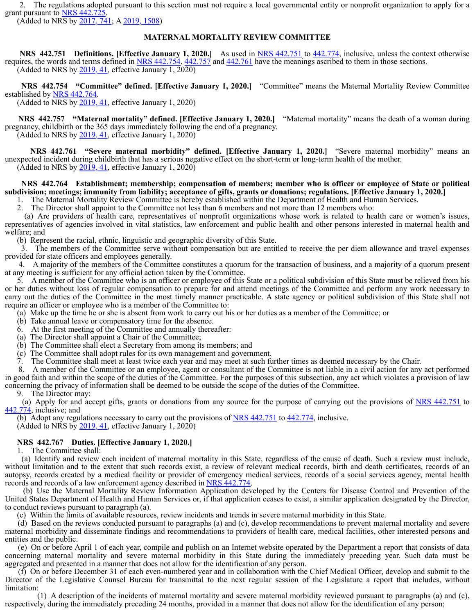2. The regulations adopted pursuant to this section must not require a local governmental entity or nonprofit organization to apply for a grant pursuant to **NRS 442.725.** 

(Added to NRS by 2017, 741; A 2019, 1508)

## **MATERNAL MORTALITY REVIEW COMMITTEE**

**NRS** 442.751 Definitions. [Effective January 1, 2020.] As used in NRS 442.751 to 442.774, inclusive, unless the context otherwise requires, the words and terms defined in  $NRS\,442.754$ ,  $442.757$  and  $442.761$  have the meanings ascribed to them in those sections. (Added to NRS by  $\frac{2019}{,}$  41, effective January 1, 2020)

 **NRS 442.754 "Committee" defined. [Effective January 1, 2020.]** "Committee" means the Maternal Mortality Review Committee established by NRS 442.764.

(Added to  $\overline{\text{NRS}}$  by  $\overline{2019}$ , 41, effective January 1, 2020)

 **NRS 442.757 "Maternal mortality" defined. [Effective January 1, 2020.]** "Maternal mortality" means the death of a woman during pregnancy, childbirth or the 365 days immediately following the end of a pregnancy. (Added to NRS by  $\frac{2019}{,}$  41, effective January 1, 2020)

 **NRS 442.761 "Severe maternal morbidity" defined. [Effective January 1, 2020.]** "Severe maternal morbidity" means an unexpected incident during childbirth that has a serious negative effect on the short-term or long-term health of the mother. (Added to NRS by 2019, 41, effective January 1, 2020)

# **NRS 442.764 Establishment; membership; compensation of members; member who is officer or employee of State or political subdivision; meetings; immunity from liability; acceptance of gifts, grants or donations; regulations. [Effective January 1, 2020.]**

1. The Maternal Mortality Review Committee is hereby established within the Department of Health and Human Services.

2. The Director shall appoint to the Committee not less than 6 members and not more than 12 members who:

 (a) Are providers of health care, representatives of nonprofit organizations whose work is related to health care or women's issues, representatives of agencies involved in vital statistics, law enforcement and public health and other persons interested in maternal health and welfare; and

(b) Represent the racial, ethnic, linguistic and geographic diversity of this State.

 3. The members of the Committee serve without compensation but are entitled to receive the per diem allowance and travel expenses provided for state officers and employees generally.

 4. A majority of the members of the Committee constitutes a quorum for the transaction of business, and a majority of a quorum present at any meeting is sufficient for any official action taken by the Committee.

 5. A member of the Committee who is an officer or employee of this State or a political subdivision of this State must be relieved from his or her duties without loss of regular compensation to prepare for and attend meetings of the Committee and perform any work necessary to carry out the duties of the Committee in the most timely manner practicable. A state agency or political subdivision of this State shall not require an officer or employee who is a member of the Committee to:

(a) Make up the time he or she is absent from work to carry out his or her duties as a member of the Committee; or

- (b) Take annual leave or compensatory time for the absence.
- 6. At the first meeting of the Committee and annually thereafter:
- (a) The Director shall appoint a Chair of the Committee;
- (b) The Committee shall elect a Secretary from among its members; and
- (c) The Committee shall adopt rules for its own management and government.

7. The Committee shall meet at least twice each year and may meet at such further times as deemed necessary by the Chair.

 8. A member of the Committee or an employee, agent or consultant of the Committee is not liable in a civil action for any act performed in good faith and within the scope of the duties of the Committee. For the purposes of this subsection, any act which violates a provision of law concerning the privacy of information shall be deemed to be outside the scope of the duties of the Committee.

9. The Director may:

(a) Apply for and accept gifts, grants or donations from any source for the purpose of carrying out the provisions of NRS 442.751 to 442.774, inclusive; and

(b) Adopt any regulations necessary to carry out the provisions of  $NRS$  442.751 to  $442.774$ , inclusive. (Added to NRS by  $2019, 41$ , effective January 1, 2020)

#### **NRS 442.767 Duties. [Effective January 1, 2020.]**

1. The Committee shall:

 (a) Identify and review each incident of maternal mortality in this State, regardless of the cause of death. Such a review must include, without limitation and to the extent that such records exist, a review of relevant medical records, birth and death certificates, records of an autopsy, records created by a medical facility or provider of emergency medical services, records of a social services agency, mental health records and records of a law enforcement agency described in NRS 442.774.

 (b) Use the Maternal Mortality Review Information Application developed by the Centers for Disease Control and Prevention of the United States Department of Health and Human Services or, if that application ceases to exist, a similar application designated by the Director, to conduct reviews pursuant to paragraph (a).

(c) Within the limits of available resources, review incidents and trends in severe maternal morbidity in this State.

 (d) Based on the reviews conducted pursuant to paragraphs (a) and (c), develop recommendations to prevent maternal mortality and severe maternal morbidity and disseminate findings and recommendations to providers of health care, medical facilities, other interested persons and entities and the public.

 (e) On or before April 1 of each year, compile and publish on an Internet website operated by the Department a report that consists of data concerning maternal mortality and severe maternal morbidity in this State during the immediately preceding year. Such data must be aggregated and presented in a manner that does not allow for the identification of any person.

 (f) On or before December 31 of each even-numbered year and in collaboration with the Chief Medical Officer, develop and submit to the Director of the Legislative Counsel Bureau for transmittal to the next regular session of the Legislature a report that includes, without limitation:

 (1) A description of the incidents of maternal mortality and severe maternal morbidity reviewed pursuant to paragraphs (a) and (c), respectively, during the immediately preceding 24 months, provided in a manner that does not allow for the identification of any person;